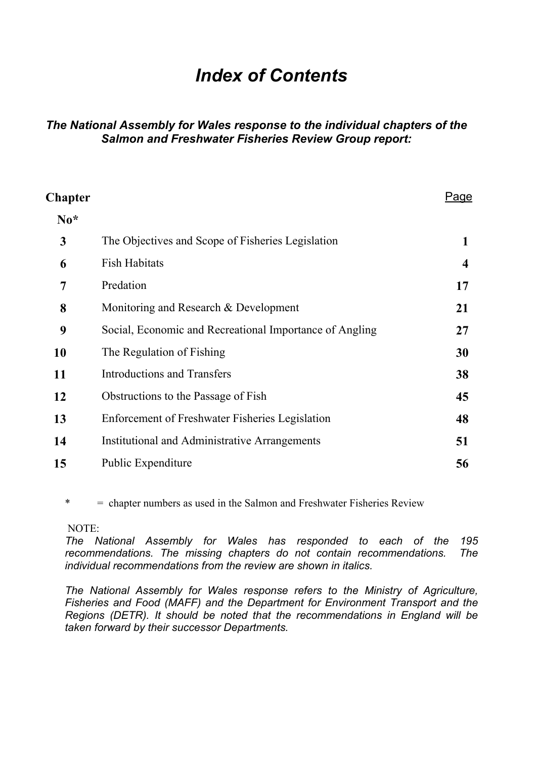# *Index of Contents*

#### *The National Assembly for Wales response to the individual chapters of the Salmon and Freshwater Fisheries Review Group report:*

| <b>Chapter</b>   |                                                         | Page                    |
|------------------|---------------------------------------------------------|-------------------------|
| $\mathbf{N_0}^*$ |                                                         |                         |
| 3                | The Objectives and Scope of Fisheries Legislation       | 1                       |
| 6                | <b>Fish Habitats</b>                                    | $\overline{\mathbf{4}}$ |
| 7                | Predation                                               | 17                      |
| 8                | Monitoring and Research & Development                   | 21                      |
| 9                | Social, Economic and Recreational Importance of Angling | 27                      |
| <b>10</b>        | The Regulation of Fishing                               | 30                      |
| 11               | <b>Introductions and Transfers</b>                      | 38                      |
| 12               | Obstructions to the Passage of Fish                     | 45                      |
| 13               | Enforcement of Freshwater Fisheries Legislation         | 48                      |
| 14               | Institutional and Administrative Arrangements           | 51                      |
| 15               | Public Expenditure                                      | 56                      |

\* = chapter numbers as used in the Salmon and Freshwater Fisheries Review

#### NOTE:

*The National Assembly for Wales has responded to each of the 195 recommendations. The missing chapters do not contain recommendations. The individual recommendations from the review are shown in italics.* 

*The National Assembly for Wales response refers to the Ministry of Agriculture, Fisheries and Food (MAFF) and the Department for Environment Transport and the Regions (DETR). It should be noted that the recommendations in England will be taken forward by their successor Departments.*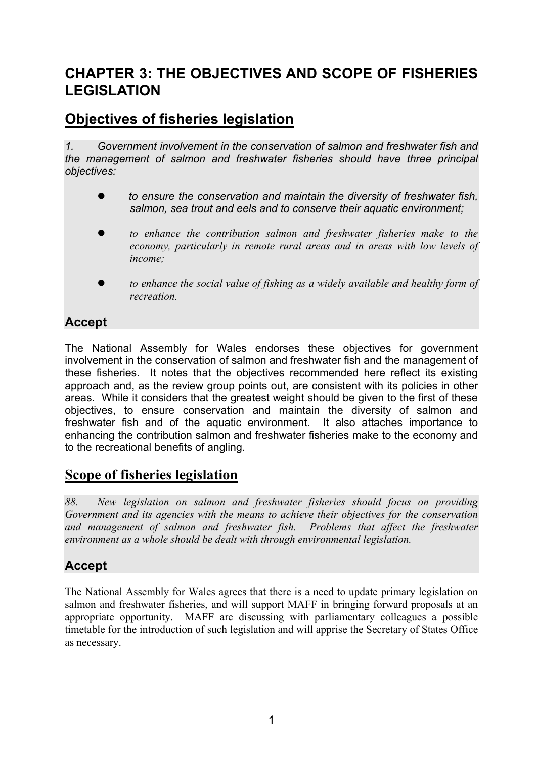# **CHAPTER 3: THE OBJECTIVES AND SCOPE OF FISHERIES LEGISLATION**

# **Objectives of fisheries legislation**

*1. Government involvement in the conservation of salmon and freshwater fish and the management of salmon and freshwater fisheries should have three principal objectives:* 

- to ensure the conservation and maintain the diversity of freshwater fish, *salmon, sea trout and eels and to conserve their aquatic environment;*
- to enhance the contribution salmon and freshwater fisheries make to the *economy, particularly in remote rural areas and in areas with low levels of income;*
- to enhance the social value of fishing as a widely available and healthy form of *recreation.*

## **Accept**

The National Assembly for Wales endorses these objectives for government involvement in the conservation of salmon and freshwater fish and the management of these fisheries. It notes that the objectives recommended here reflect its existing approach and, as the review group points out, are consistent with its policies in other areas. While it considers that the greatest weight should be given to the first of these objectives, to ensure conservation and maintain the diversity of salmon and freshwater fish and of the aquatic environment. It also attaches importance to enhancing the contribution salmon and freshwater fisheries make to the economy and to the recreational benefits of angling.

## **Scope of fisheries legislation**

*88. New legislation on salmon and freshwater fisheries should focus on providing Government and its agencies with the means to achieve their objectives for the conservation*  and management of salmon and freshwater fish. Problems that affect the freshwater *environment as a whole should be dealt with through environmental legislation.* 

## **Accept**

The National Assembly for Wales agrees that there is a need to update primary legislation on salmon and freshwater fisheries, and will support MAFF in bringing forward proposals at an appropriate opportunity. MAFF are discussing with parliamentary colleagues a possible timetable for the introduction of such legislation and will apprise the Secretary of States Office as necessary.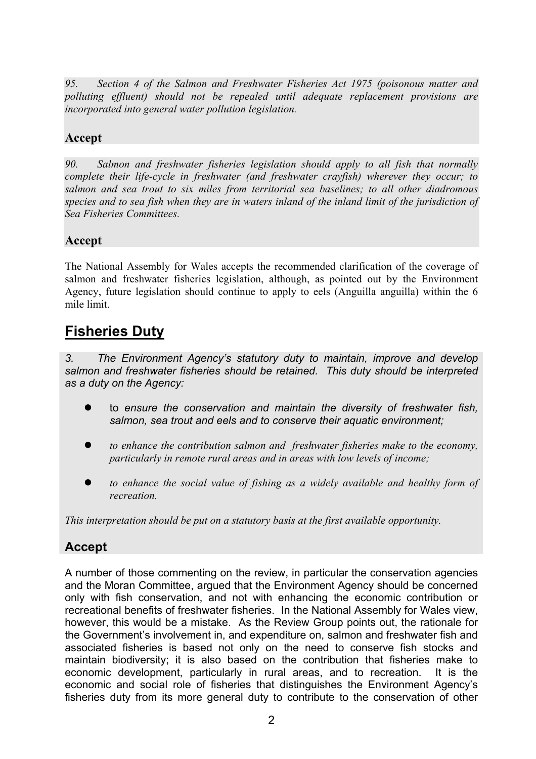*95. Section 4 of the Salmon and Freshwater Fisheries Act 1975 (poisonous matter and polluting effluent) should not be repealed until adequate replacement provisions are incorporated into general water pollution legislation.* 

## **Accept**

*90. Salmon and freshwater fisheries legislation should apply to all fish that normally complete their life-cycle in freshwater (and freshwater crayfish) wherever they occur; to salmon and sea trout to six miles from territorial sea baselines; to all other diadromous species and to sea fish when they are in waters inland of the inland limit of the jurisdiction of Sea Fisheries Committees.* 

### **Accept**

The National Assembly for Wales accepts the recommended clarification of the coverage of salmon and freshwater fisheries legislation, although, as pointed out by the Environment Agency, future legislation should continue to apply to eels (Anguilla anguilla) within the 6 mile limit.

# **Fisheries Duty**

*3. The Environment Agency's statutory duty to maintain, improve and develop salmon and freshwater fisheries should be retained. This duty should be interpreted as a duty on the Agency:* 

- z to *ensure the conservation and maintain the diversity of freshwater fish, salmon, sea trout and eels and to conserve their aquatic environment;*
- $\bullet$  *to enhance the contribution salmon and freshwater fisheries make to the economy, particularly in remote rural areas and in areas with low levels of income;*
- to enhance the social value of fishing as a widely available and healthy form of *recreation.*

*This interpretation should be put on a statutory basis at the first available opportunity.* 

### **Accept**

A number of those commenting on the review, in particular the conservation agencies and the Moran Committee, argued that the Environment Agency should be concerned only with fish conservation, and not with enhancing the economic contribution or recreational benefits of freshwater fisheries. In the National Assembly for Wales view, however, this would be a mistake. As the Review Group points out, the rationale for the Government's involvement in, and expenditure on, salmon and freshwater fish and associated fisheries is based not only on the need to conserve fish stocks and maintain biodiversity; it is also based on the contribution that fisheries make to economic development, particularly in rural areas, and to recreation. It is the economic and social role of fisheries that distinguishes the Environment Agency's fisheries duty from its more general duty to contribute to the conservation of other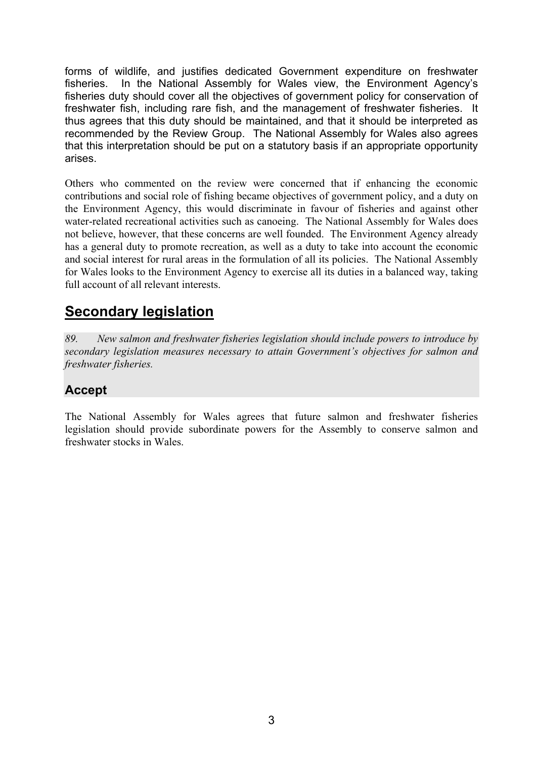forms of wildlife, and justifies dedicated Government expenditure on freshwater fisheries. In the National Assembly for Wales view, the Environment Agency's fisheries duty should cover all the objectives of government policy for conservation of freshwater fish, including rare fish, and the management of freshwater fisheries. It thus agrees that this duty should be maintained, and that it should be interpreted as recommended by the Review Group. The National Assembly for Wales also agrees that this interpretation should be put on a statutory basis if an appropriate opportunity arises.

Others who commented on the review were concerned that if enhancing the economic contributions and social role of fishing became objectives of government policy, and a duty on the Environment Agency, this would discriminate in favour of fisheries and against other water-related recreational activities such as canoeing. The National Assembly for Wales does not believe, however, that these concerns are well founded. The Environment Agency already has a general duty to promote recreation, as well as a duty to take into account the economic and social interest for rural areas in the formulation of all its policies. The National Assembly for Wales looks to the Environment Agency to exercise all its duties in a balanced way, taking full account of all relevant interests.

# **Secondary legislation**

*89. New salmon and freshwater fisheries legislation should include powers to introduce by secondary legislation measures necessary to attain Government's objectives for salmon and freshwater fisheries.* 

## **Accept**

The National Assembly for Wales agrees that future salmon and freshwater fisheries legislation should provide subordinate powers for the Assembly to conserve salmon and freshwater stocks in Wales.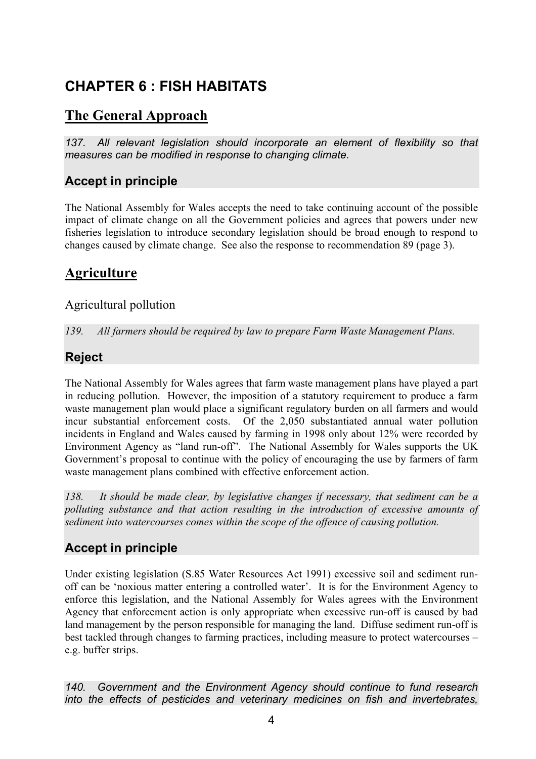# **CHAPTER 6 : FISH HABITATS**

# **The General Approach**

137. All relevant legislation should incorporate an element of flexibility so that *measures can be modified in response to changing climate.* 

## **Accept in principle**

The National Assembly for Wales accepts the need to take continuing account of the possible impact of climate change on all the Government policies and agrees that powers under new fisheries legislation to introduce secondary legislation should be broad enough to respond to changes caused by climate change. See also the response to recommendation 89 (page 3).

# **Agriculture**

### Agricultural pollution

*139. All farmers should be required by law to prepare Farm Waste Management Plans.* 

## **Reject**

The National Assembly for Wales agrees that farm waste management plans have played a part in reducing pollution. However, the imposition of a statutory requirement to produce a farm waste management plan would place a significant regulatory burden on all farmers and would incur substantial enforcement costs. Of the 2,050 substantiated annual water pollution incidents in England and Wales caused by farming in 1998 only about 12% were recorded by Environment Agency as "land run-off". The National Assembly for Wales supports the UK Government's proposal to continue with the policy of encouraging the use by farmers of farm waste management plans combined with effective enforcement action.

*138. It should be made clear, by legislative changes if necessary, that sediment can be a polluting substance and that action resulting in the introduction of excessive amounts of sediment into watercourses comes within the scope of the offence of causing pollution.* 

## **Accept in principle**

Under existing legislation (S.85 Water Resources Act 1991) excessive soil and sediment runoff can be 'noxious matter entering a controlled water'. It is for the Environment Agency to enforce this legislation, and the National Assembly for Wales agrees with the Environment Agency that enforcement action is only appropriate when excessive run-off is caused by bad land management by the person responsible for managing the land. Diffuse sediment run-off is best tackled through changes to farming practices, including measure to protect watercourses – e.g. buffer strips.

*140. Government and the Environment Agency should continue to fund research into the effects of pesticides and veterinary medicines on fish and invertebrates,*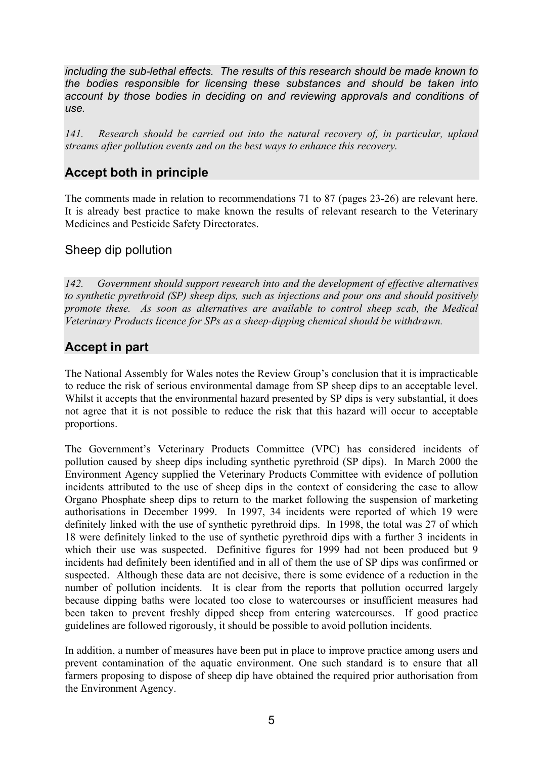*including the sub-lethal effects. The results of this research should be made known to the bodies responsible for licensing these substances and should be taken into account by those bodies in deciding on and reviewing approvals and conditions of use.* 

*141. Research should be carried out into the natural recovery of, in particular, upland streams after pollution events and on the best ways to enhance this recovery.* 

### **Accept both in principle**

The comments made in relation to recommendations 71 to 87 (pages 23-26) are relevant here. It is already best practice to make known the results of relevant research to the Veterinary Medicines and Pesticide Safety Directorates.

#### Sheep dip pollution

*142. Government should support research into and the development of effective alternatives to synthetic pyrethroid (SP) sheep dips, such as injections and pour ons and should positively promote these. As soon as alternatives are available to control sheep scab, the Medical Veterinary Products licence for SPs as a sheep-dipping chemical should be withdrawn.* 

## **Accept in part**

The National Assembly for Wales notes the Review Group's conclusion that it is impracticable to reduce the risk of serious environmental damage from SP sheep dips to an acceptable level. Whilst it accepts that the environmental hazard presented by SP dips is very substantial, it does not agree that it is not possible to reduce the risk that this hazard will occur to acceptable proportions.

The Government's Veterinary Products Committee (VPC) has considered incidents of pollution caused by sheep dips including synthetic pyrethroid (SP dips). In March 2000 the Environment Agency supplied the Veterinary Products Committee with evidence of pollution incidents attributed to the use of sheep dips in the context of considering the case to allow Organo Phosphate sheep dips to return to the market following the suspension of marketing authorisations in December 1999. In 1997, 34 incidents were reported of which 19 were definitely linked with the use of synthetic pyrethroid dips. In 1998, the total was 27 of which 18 were definitely linked to the use of synthetic pyrethroid dips with a further 3 incidents in which their use was suspected. Definitive figures for 1999 had not been produced but 9 incidents had definitely been identified and in all of them the use of SP dips was confirmed or suspected. Although these data are not decisive, there is some evidence of a reduction in the number of pollution incidents. It is clear from the reports that pollution occurred largely because dipping baths were located too close to watercourses or insufficient measures had been taken to prevent freshly dipped sheep from entering watercourses. If good practice guidelines are followed rigorously, it should be possible to avoid pollution incidents.

In addition, a number of measures have been put in place to improve practice among users and prevent contamination of the aquatic environment. One such standard is to ensure that all farmers proposing to dispose of sheep dip have obtained the required prior authorisation from the Environment Agency.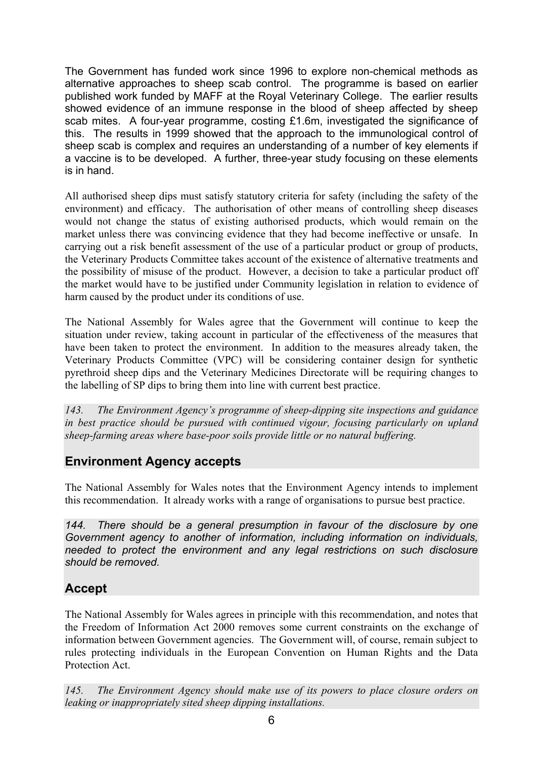The Government has funded work since 1996 to explore non-chemical methods as alternative approaches to sheep scab control. The programme is based on earlier published work funded by MAFF at the Royal Veterinary College. The earlier results showed evidence of an immune response in the blood of sheep affected by sheep scab mites. A four-year programme, costing £1.6m, investigated the significance of this. The results in 1999 showed that the approach to the immunological control of sheep scab is complex and requires an understanding of a number of key elements if a vaccine is to be developed. A further, three-year study focusing on these elements is in hand.

All authorised sheep dips must satisfy statutory criteria for safety (including the safety of the environment) and efficacy. The authorisation of other means of controlling sheep diseases would not change the status of existing authorised products, which would remain on the market unless there was convincing evidence that they had become ineffective or unsafe. In carrying out a risk benefit assessment of the use of a particular product or group of products, the Veterinary Products Committee takes account of the existence of alternative treatments and the possibility of misuse of the product. However, a decision to take a particular product off the market would have to be justified under Community legislation in relation to evidence of harm caused by the product under its conditions of use.

The National Assembly for Wales agree that the Government will continue to keep the situation under review, taking account in particular of the effectiveness of the measures that have been taken to protect the environment. In addition to the measures already taken, the Veterinary Products Committee (VPC) will be considering container design for synthetic pyrethroid sheep dips and the Veterinary Medicines Directorate will be requiring changes to the labelling of SP dips to bring them into line with current best practice.

*143. The Environment Agency's programme of sheep-dipping site inspections and guidance in best practice should be pursued with continued vigour, focusing particularly on upland sheep-farming areas where base-poor soils provide little or no natural buffering.* 

### **Environment Agency accepts**

The National Assembly for Wales notes that the Environment Agency intends to implement this recommendation. It already works with a range of organisations to pursue best practice.

*144. There should be a general presumption in favour of the disclosure by one Government agency to another of information, including information on individuals,*  needed to protect the environment and any legal restrictions on such disclosure *should be removed.* 

## **Accept**

The National Assembly for Wales agrees in principle with this recommendation, and notes that the Freedom of Information Act 2000 removes some current constraints on the exchange of information between Government agencies. The Government will, of course, remain subject to rules protecting individuals in the European Convention on Human Rights and the Data Protection Act.

*145. The Environment Agency should make use of its powers to place closure orders on leaking or inappropriately sited sheep dipping installations.*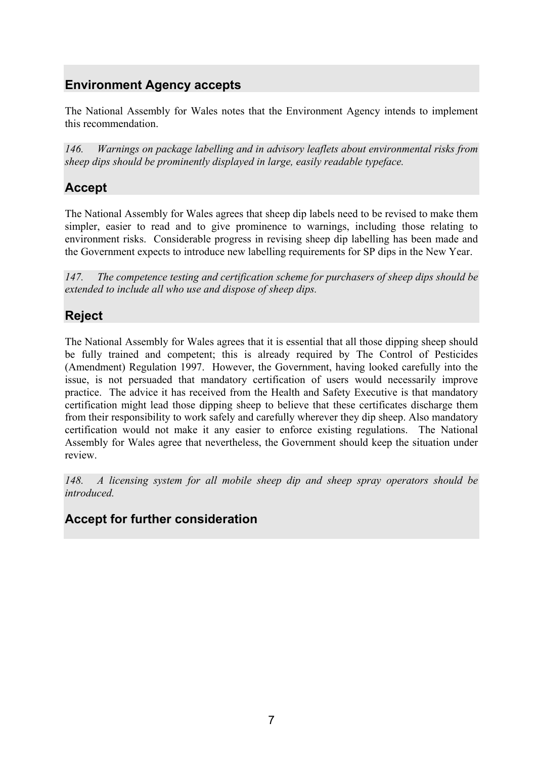# **Environment Agency accepts**

The National Assembly for Wales notes that the Environment Agency intends to implement this recommendation.

*146. Warnings on package labelling and in advisory leaflets about environmental risks from sheep dips should be prominently displayed in large, easily readable typeface.* 

## **Accept**

The National Assembly for Wales agrees that sheep dip labels need to be revised to make them simpler, easier to read and to give prominence to warnings, including those relating to environment risks. Considerable progress in revising sheep dip labelling has been made and the Government expects to introduce new labelling requirements for SP dips in the New Year.

*147. The competence testing and certification scheme for purchasers of sheep dips should be extended to include all who use and dispose of sheep dips.* 

## **Reject**

The National Assembly for Wales agrees that it is essential that all those dipping sheep should be fully trained and competent; this is already required by The Control of Pesticides (Amendment) Regulation 1997. However, the Government, having looked carefully into the issue, is not persuaded that mandatory certification of users would necessarily improve practice. The advice it has received from the Health and Safety Executive is that mandatory certification might lead those dipping sheep to believe that these certificates discharge them from their responsibility to work safely and carefully wherever they dip sheep. Also mandatory certification would not make it any easier to enforce existing regulations. The National Assembly for Wales agree that nevertheless, the Government should keep the situation under review.

*148. A licensing system for all mobile sheep dip and sheep spray operators should be introduced.* 

## **Accept for further consideration**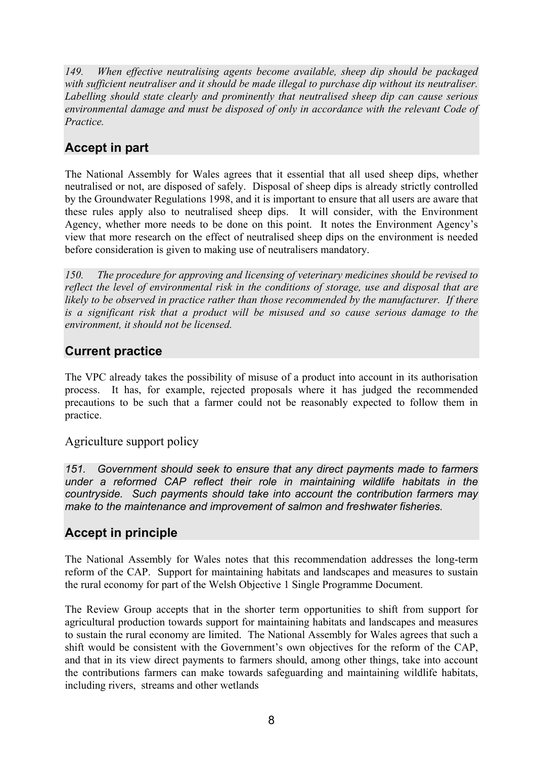*149. When effective neutralising agents become available, sheep dip should be packaged with sufficient neutraliser and it should be made illegal to purchase dip without its neutraliser. Labelling should state clearly and prominently that neutralised sheep dip can cause serious environmental damage and must be disposed of only in accordance with the relevant Code of Practice.* 

# **Accept in part**

The National Assembly for Wales agrees that it essential that all used sheep dips, whether neutralised or not, are disposed of safely. Disposal of sheep dips is already strictly controlled by the Groundwater Regulations 1998, and it is important to ensure that all users are aware that these rules apply also to neutralised sheep dips. It will consider, with the Environment Agency, whether more needs to be done on this point. It notes the Environment Agency's view that more research on the effect of neutralised sheep dips on the environment is needed before consideration is given to making use of neutralisers mandatory.

*150. The procedure for approving and licensing of veterinary medicines should be revised to reflect the level of environmental risk in the conditions of storage, use and disposal that are likely to be observed in practice rather than those recommended by the manufacturer. If there is a significant risk that a product will be misused and so cause serious damage to the environment, it should not be licensed.* 

### **Current practice**

The VPC already takes the possibility of misuse of a product into account in its authorisation process. It has, for example, rejected proposals where it has judged the recommended precautions to be such that a farmer could not be reasonably expected to follow them in practice.

#### Agriculture support policy

*151. Government should seek to ensure that any direct payments made to farmers under a reformed CAP reflect their role in maintaining wildlife habitats in the countryside. Such payments should take into account the contribution farmers may make to the maintenance and improvement of salmon and freshwater fisheries.* 

### **Accept in principle**

The National Assembly for Wales notes that this recommendation addresses the long-term reform of the CAP. Support for maintaining habitats and landscapes and measures to sustain the rural economy for part of the Welsh Objective 1 Single Programme Document.

The Review Group accepts that in the shorter term opportunities to shift from support for agricultural production towards support for maintaining habitats and landscapes and measures to sustain the rural economy are limited. The National Assembly for Wales agrees that such a shift would be consistent with the Government's own objectives for the reform of the CAP, and that in its view direct payments to farmers should, among other things, take into account the contributions farmers can make towards safeguarding and maintaining wildlife habitats, including rivers, streams and other wetlands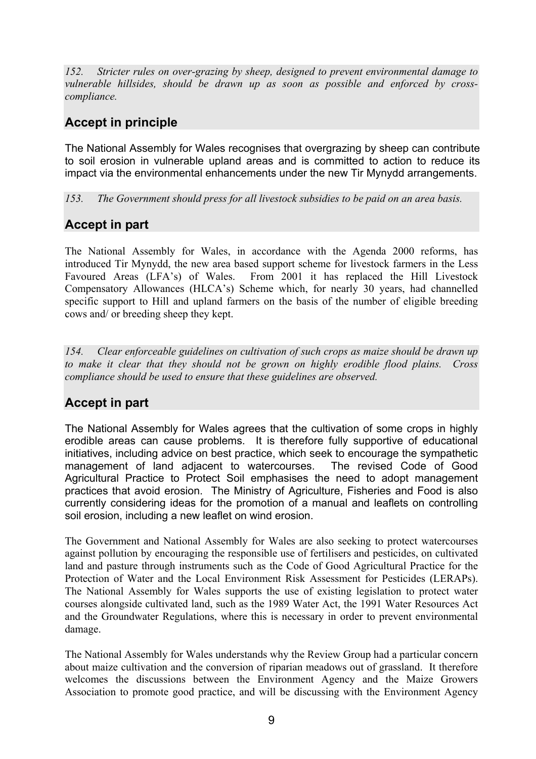*152. Stricter rules on over-grazing by sheep, designed to prevent environmental damage to vulnerable hillsides, should be drawn up as soon as possible and enforced by crosscompliance.* 

## **Accept in principle**

The National Assembly for Wales recognises that overgrazing by sheep can contribute to soil erosion in vulnerable upland areas and is committed to action to reduce its impact via the environmental enhancements under the new Tir Mynydd arrangements.

*153. The Government should press for all livestock subsidies to be paid on an area basis.* 

## **Accept in part**

The National Assembly for Wales, in accordance with the Agenda 2000 reforms, has introduced Tir Mynydd, the new area based support scheme for livestock farmers in the Less Favoured Areas (LFA's) of Wales. From 2001 it has replaced the Hill Livestock Compensatory Allowances (HLCA's) Scheme which, for nearly 30 years, had channelled specific support to Hill and upland farmers on the basis of the number of eligible breeding cows and/ or breeding sheep they kept.

*154. Clear enforceable guidelines on cultivation of such crops as maize should be drawn up to make it clear that they should not be grown on highly erodible flood plains. Cross compliance should be used to ensure that these guidelines are observed.* 

## **Accept in part**

The National Assembly for Wales agrees that the cultivation of some crops in highly erodible areas can cause problems. It is therefore fully supportive of educational initiatives, including advice on best practice, which seek to encourage the sympathetic management of land adjacent to watercourses. The revised Code of Good Agricultural Practice to Protect Soil emphasises the need to adopt management practices that avoid erosion. The Ministry of Agriculture, Fisheries and Food is also currently considering ideas for the promotion of a manual and leaflets on controlling soil erosion, including a new leaflet on wind erosion.

The Government and National Assembly for Wales are also seeking to protect watercourses against pollution by encouraging the responsible use of fertilisers and pesticides, on cultivated land and pasture through instruments such as the Code of Good Agricultural Practice for the Protection of Water and the Local Environment Risk Assessment for Pesticides (LERAPs). The National Assembly for Wales supports the use of existing legislation to protect water courses alongside cultivated land, such as the 1989 Water Act, the 1991 Water Resources Act and the Groundwater Regulations, where this is necessary in order to prevent environmental damage.

The National Assembly for Wales understands why the Review Group had a particular concern about maize cultivation and the conversion of riparian meadows out of grassland. It therefore welcomes the discussions between the Environment Agency and the Maize Growers Association to promote good practice, and will be discussing with the Environment Agency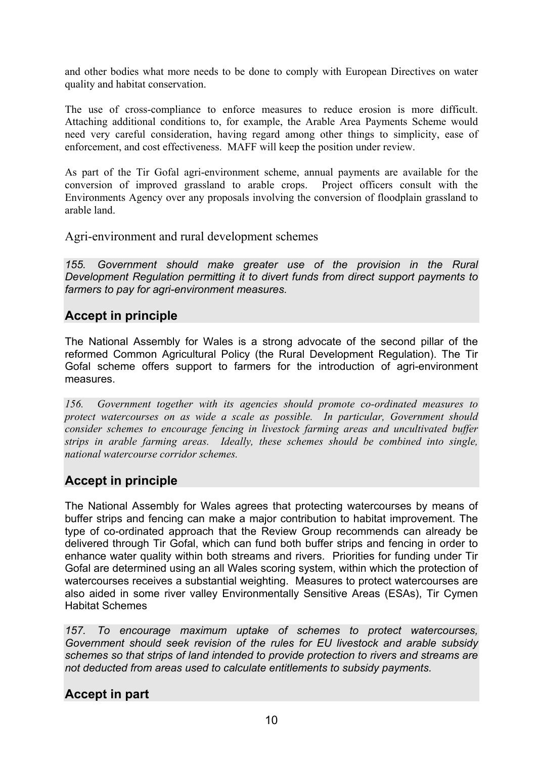and other bodies what more needs to be done to comply with European Directives on water quality and habitat conservation.

The use of cross-compliance to enforce measures to reduce erosion is more difficult. Attaching additional conditions to, for example, the Arable Area Payments Scheme would need very careful consideration, having regard among other things to simplicity, ease of enforcement, and cost effectiveness. MAFF will keep the position under review.

As part of the Tir Gofal agri-environment scheme, annual payments are available for the conversion of improved grassland to arable crops. Project officers consult with the Environments Agency over any proposals involving the conversion of floodplain grassland to arable land.

Agri-environment and rural development schemes

*155. Government should make greater use of the provision in the Rural Development Regulation permitting it to divert funds from direct support payments to farmers to pay for agri-environment measures.* 

#### **Accept in principle**

The National Assembly for Wales is a strong advocate of the second pillar of the reformed Common Agricultural Policy (the Rural Development Regulation). The Tir Gofal scheme offers support to farmers for the introduction of agri-environment measures.

*156. Government together with its agencies should promote co-ordinated measures to protect watercourses on as wide a scale as possible. In particular, Government should consider schemes to encourage fencing in livestock farming areas and uncultivated buffer strips in arable farming areas. Ideally, these schemes should be combined into single, national watercourse corridor schemes.* 

#### **Accept in principle**

The National Assembly for Wales agrees that protecting watercourses by means of buffer strips and fencing can make a major contribution to habitat improvement. The type of co-ordinated approach that the Review Group recommends can already be delivered through Tir Gofal, which can fund both buffer strips and fencing in order to enhance water quality within both streams and rivers. Priorities for funding under Tir Gofal are determined using an all Wales scoring system, within which the protection of watercourses receives a substantial weighting. Measures to protect watercourses are also aided in some river valley Environmentally Sensitive Areas (ESAs), Tir Cymen Habitat Schemes

*157. To encourage maximum uptake of schemes to protect watercourses, Government should seek revision of the rules for EU livestock and arable subsidy schemes so that strips of land intended to provide protection to rivers and streams are not deducted from areas used to calculate entitlements to subsidy payments.* 

#### **Accept in part**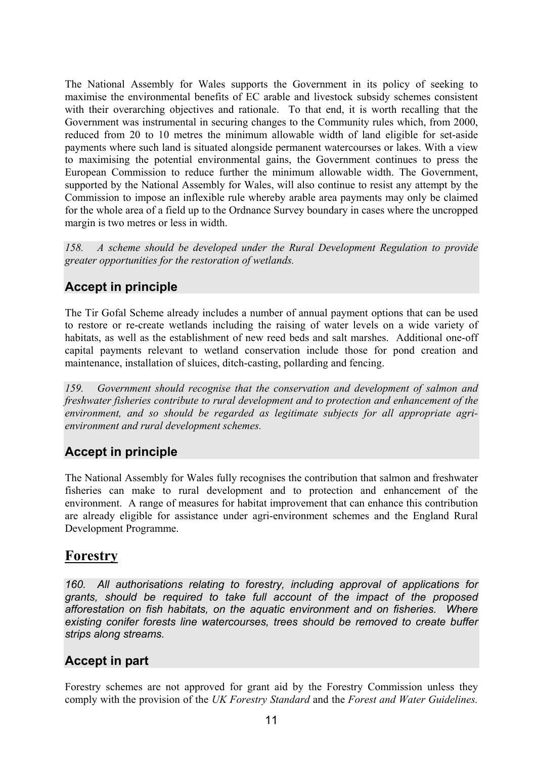The National Assembly for Wales supports the Government in its policy of seeking to maximise the environmental benefits of EC arable and livestock subsidy schemes consistent with their overarching objectives and rationale. To that end, it is worth recalling that the Government was instrumental in securing changes to the Community rules which, from 2000, reduced from 20 to 10 metres the minimum allowable width of land eligible for set-aside payments where such land is situated alongside permanent watercourses or lakes. With a view to maximising the potential environmental gains, the Government continues to press the European Commission to reduce further the minimum allowable width. The Government, supported by the National Assembly for Wales, will also continue to resist any attempt by the Commission to impose an inflexible rule whereby arable area payments may only be claimed for the whole area of a field up to the Ordnance Survey boundary in cases where the uncropped margin is two metres or less in width.

*158. A scheme should be developed under the Rural Development Regulation to provide greater opportunities for the restoration of wetlands.* 

## **Accept in principle**

The Tir Gofal Scheme already includes a number of annual payment options that can be used to restore or re-create wetlands including the raising of water levels on a wide variety of habitats, as well as the establishment of new reed beds and salt marshes. Additional one-off capital payments relevant to wetland conservation include those for pond creation and maintenance, installation of sluices, ditch-casting, pollarding and fencing.

*159. Government should recognise that the conservation and development of salmon and freshwater fisheries contribute to rural development and to protection and enhancement of the environment, and so should be regarded as legitimate subjects for all appropriate agrienvironment and rural development schemes.* 

## **Accept in principle**

The National Assembly for Wales fully recognises the contribution that salmon and freshwater fisheries can make to rural development and to protection and enhancement of the environment. A range of measures for habitat improvement that can enhance this contribution are already eligible for assistance under agri-environment schemes and the England Rural Development Programme.

# **Forestry**

*160. All authorisations relating to forestry, including approval of applications for grants, should be required to take full account of the impact of the proposed afforestation on fish habitats, on the aquatic environment and on fisheries. Where existing conifer forests line watercourses, trees should be removed to create buffer strips along streams.* 

## **Accept in part**

Forestry schemes are not approved for grant aid by the Forestry Commission unless they comply with the provision of the *UK Forestry Standard* and the *Forest and Water Guidelines.*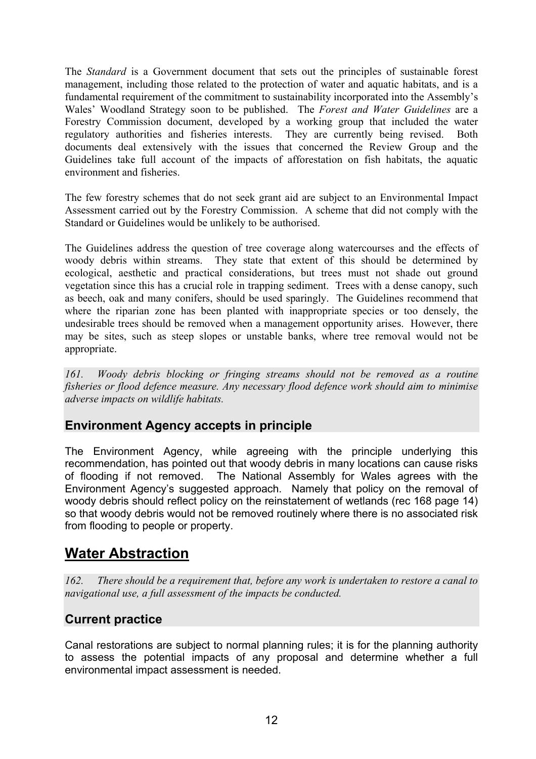The *Standard* is a Government document that sets out the principles of sustainable forest management, including those related to the protection of water and aquatic habitats, and is a fundamental requirement of the commitment to sustainability incorporated into the Assembly's Wales' Woodland Strategy soon to be published. The *Forest and Water Guidelines* are a Forestry Commission document, developed by a working group that included the water regulatory authorities and fisheries interests. They are currently being revised. Both documents deal extensively with the issues that concerned the Review Group and the Guidelines take full account of the impacts of afforestation on fish habitats, the aquatic environment and fisheries.

The few forestry schemes that do not seek grant aid are subject to an Environmental Impact Assessment carried out by the Forestry Commission. A scheme that did not comply with the Standard or Guidelines would be unlikely to be authorised.

The Guidelines address the question of tree coverage along watercourses and the effects of woody debris within streams. They state that extent of this should be determined by ecological, aesthetic and practical considerations, but trees must not shade out ground vegetation since this has a crucial role in trapping sediment. Trees with a dense canopy, such as beech, oak and many conifers, should be used sparingly. The Guidelines recommend that where the riparian zone has been planted with inappropriate species or too densely, the undesirable trees should be removed when a management opportunity arises. However, there may be sites, such as steep slopes or unstable banks, where tree removal would not be appropriate.

*161. Woody debris blocking or fringing streams should not be removed as a routine fisheries or flood defence measure. Any necessary flood defence work should aim to minimise adverse impacts on wildlife habitats.* 

#### **Environment Agency accepts in principle**

The Environment Agency, while agreeing with the principle underlying this recommendation, has pointed out that woody debris in many locations can cause risks of flooding if not removed. The National Assembly for Wales agrees with the Environment Agency's suggested approach. Namely that policy on the removal of woody debris should reflect policy on the reinstatement of wetlands (rec 168 page 14) so that woody debris would not be removed routinely where there is no associated risk from flooding to people or property.

# **Water Abstraction**

*162. There should be a requirement that, before any work is undertaken to restore a canal to navigational use, a full assessment of the impacts be conducted.* 

### **Current practice**

Canal restorations are subject to normal planning rules; it is for the planning authority to assess the potential impacts of any proposal and determine whether a full environmental impact assessment is needed.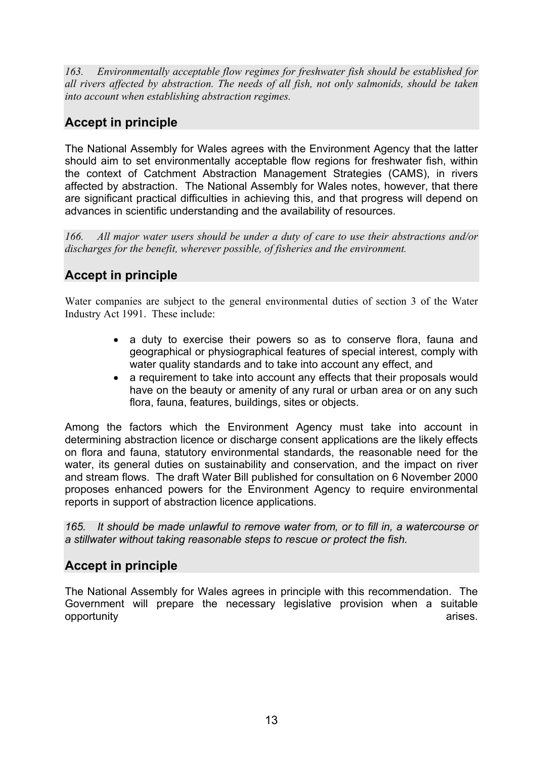*163. Environmentally acceptable flow regimes for freshwater fish should be established for all rivers affected by abstraction. The needs of all fish, not only salmonids, should be taken into account when establishing abstraction regimes.* 

# **Accept in principle**

The National Assembly for Wales agrees with the Environment Agency that the latter should aim to set environmentally acceptable flow regions for freshwater fish, within the context of Catchment Abstraction Management Strategies (CAMS), in rivers affected by abstraction. The National Assembly for Wales notes, however, that there are significant practical difficulties in achieving this, and that progress will depend on advances in scientific understanding and the availability of resources.

*166. All major water users should be under a duty of care to use their abstractions and/or discharges for the benefit, wherever possible, of fisheries and the environment.* 

## **Accept in principle**

Water companies are subject to the general environmental duties of section 3 of the Water Industry Act 1991. These include:

- a duty to exercise their powers so as to conserve flora, fauna and geographical or physiographical features of special interest, comply with water quality standards and to take into account any effect, and
- a requirement to take into account any effects that their proposals would have on the beauty or amenity of any rural or urban area or on any such flora, fauna, features, buildings, sites or objects.

Among the factors which the Environment Agency must take into account in determining abstraction licence or discharge consent applications are the likely effects on flora and fauna, statutory environmental standards, the reasonable need for the water, its general duties on sustainability and conservation, and the impact on river and stream flows. The draft Water Bill published for consultation on 6 November 2000 proposes enhanced powers for the Environment Agency to require environmental reports in support of abstraction licence applications.

*165. It should be made unlawful to remove water from, or to fill in, a watercourse or a stillwater without taking reasonable steps to rescue or protect the fish.* 

### **Accept in principle**

The National Assembly for Wales agrees in principle with this recommendation. The Government will prepare the necessary legislative provision when a suitable opportunity arises.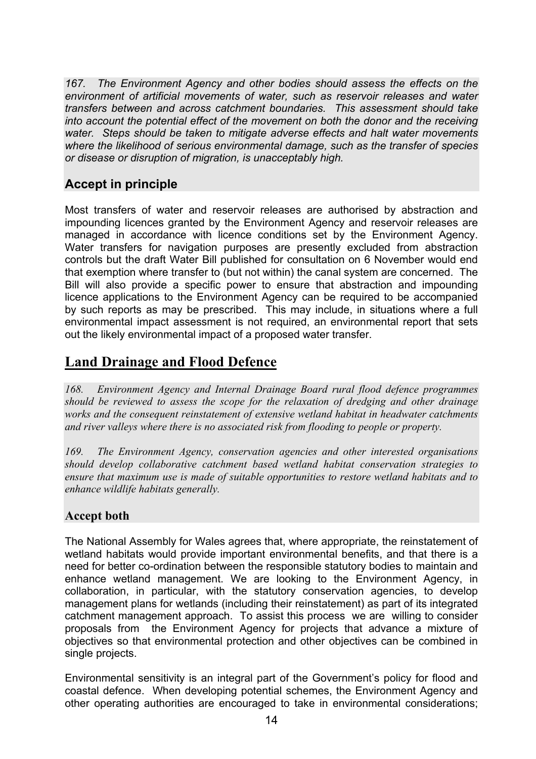*167. The Environment Agency and other bodies should assess the effects on the environment of artificial movements of water, such as reservoir releases and water transfers between and across catchment boundaries. This assessment should take into account the potential effect of the movement on both the donor and the receiving water. Steps should be taken to mitigate adverse effects and halt water movements where the likelihood of serious environmental damage, such as the transfer of species or disease or disruption of migration, is unacceptably high.* 

## **Accept in principle**

Most transfers of water and reservoir releases are authorised by abstraction and impounding licences granted by the Environment Agency and reservoir releases are managed in accordance with licence conditions set by the Environment Agency. Water transfers for navigation purposes are presently excluded from abstraction controls but the draft Water Bill published for consultation on 6 November would end that exemption where transfer to (but not within) the canal system are concerned. The Bill will also provide a specific power to ensure that abstraction and impounding licence applications to the Environment Agency can be required to be accompanied by such reports as may be prescribed. This may include, in situations where a full environmental impact assessment is not required, an environmental report that sets out the likely environmental impact of a proposed water transfer.

# **Land Drainage and Flood Defence**

*168. Environment Agency and Internal Drainage Board rural flood defence programmes should be reviewed to assess the scope for the relaxation of dredging and other drainage works and the consequent reinstatement of extensive wetland habitat in headwater catchments and river valleys where there is no associated risk from flooding to people or property.* 

*169. The Environment Agency, conservation agencies and other interested organisations should develop collaborative catchment based wetland habitat conservation strategies to ensure that maximum use is made of suitable opportunities to restore wetland habitats and to enhance wildlife habitats generally.* 

#### **Accept both**

The National Assembly for Wales agrees that, where appropriate, the reinstatement of wetland habitats would provide important environmental benefits, and that there is a need for better co-ordination between the responsible statutory bodies to maintain and enhance wetland management. We are looking to the Environment Agency, in collaboration, in particular, with the statutory conservation agencies, to develop management plans for wetlands (including their reinstatement) as part of its integrated catchment management approach. To assist this process we are willing to consider proposals from the Environment Agency for projects that advance a mixture of objectives so that environmental protection and other objectives can be combined in single projects.

Environmental sensitivity is an integral part of the Government's policy for flood and coastal defence. When developing potential schemes, the Environment Agency and other operating authorities are encouraged to take in environmental considerations;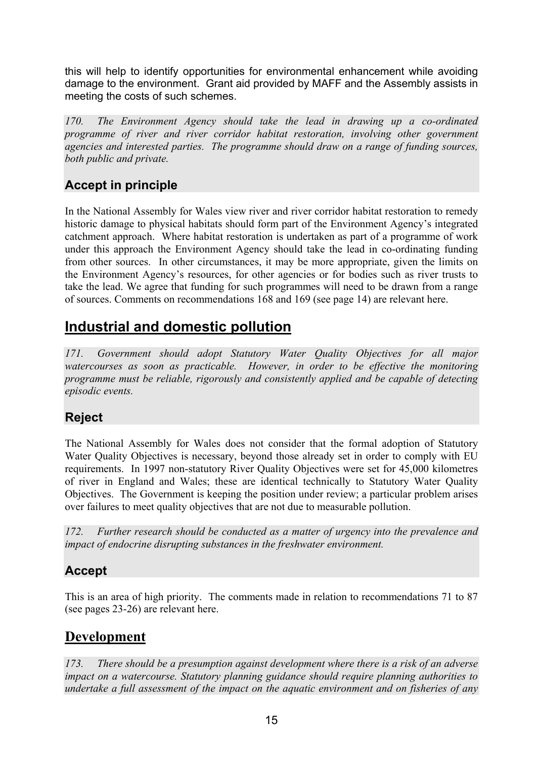this will help to identify opportunities for environmental enhancement while avoiding damage to the environment. Grant aid provided by MAFF and the Assembly assists in meeting the costs of such schemes.

*170. The Environment Agency should take the lead in drawing up a co-ordinated programme of river and river corridor habitat restoration, involving other government agencies and interested parties. The programme should draw on a range of funding sources, both public and private.* 

## **Accept in principle**

In the National Assembly for Wales view river and river corridor habitat restoration to remedy historic damage to physical habitats should form part of the Environment Agency's integrated catchment approach. Where habitat restoration is undertaken as part of a programme of work under this approach the Environment Agency should take the lead in co-ordinating funding from other sources. In other circumstances, it may be more appropriate, given the limits on the Environment Agency's resources, for other agencies or for bodies such as river trusts to take the lead. We agree that funding for such programmes will need to be drawn from a range of sources. Comments on recommendations 168 and 169 (see page 14) are relevant here.

# **Industrial and domestic pollution**

*171. Government should adopt Statutory Water Quality Objectives for all major watercourses as soon as practicable. However, in order to be effective the monitoring programme must be reliable, rigorously and consistently applied and be capable of detecting episodic events.* 

## **Reject**

The National Assembly for Wales does not consider that the formal adoption of Statutory Water Quality Objectives is necessary, beyond those already set in order to comply with EU requirements. In 1997 non-statutory River Quality Objectives were set for 45,000 kilometres of river in England and Wales; these are identical technically to Statutory Water Quality Objectives. The Government is keeping the position under review; a particular problem arises over failures to meet quality objectives that are not due to measurable pollution.

*172. Further research should be conducted as a matter of urgency into the prevalence and impact of endocrine disrupting substances in the freshwater environment.* 

### **Accept**

This is an area of high priority. The comments made in relation to recommendations 71 to 87 (see pages 23-26) are relevant here.

## **Development**

*173. There should be a presumption against development where there is a risk of an adverse impact on a watercourse. Statutory planning guidance should require planning authorities to undertake a full assessment of the impact on the aquatic environment and on fisheries of any*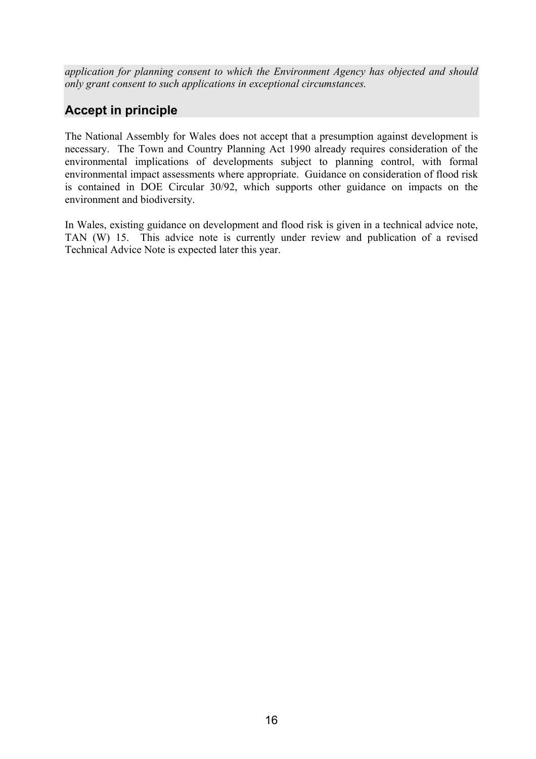*application for planning consent to which the Environment Agency has objected and should only grant consent to such applications in exceptional circumstances.* 

## **Accept in principle**

The National Assembly for Wales does not accept that a presumption against development is necessary. The Town and Country Planning Act 1990 already requires consideration of the environmental implications of developments subject to planning control, with formal environmental impact assessments where appropriate. Guidance on consideration of flood risk is contained in DOE Circular 30/92, which supports other guidance on impacts on the environment and biodiversity.

In Wales, existing guidance on development and flood risk is given in a technical advice note, TAN (W) 15. This advice note is currently under review and publication of a revised Technical Advice Note is expected later this year.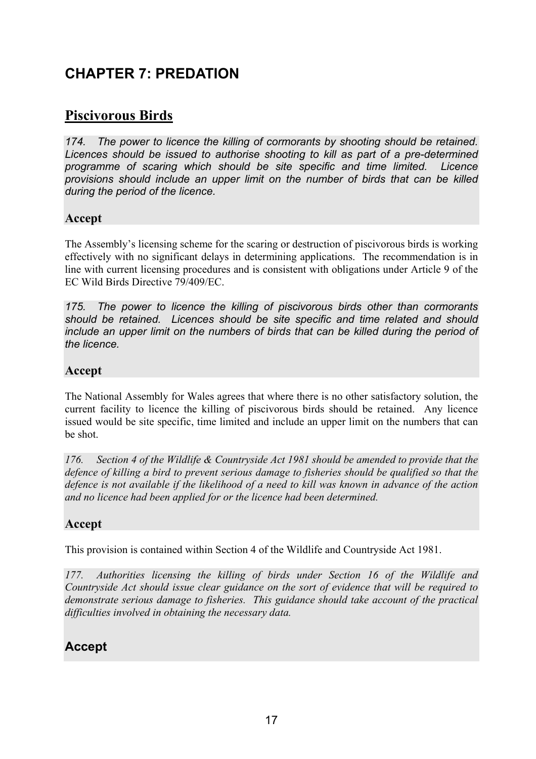# **CHAPTER 7: PREDATION**

# **Piscivorous Birds**

*174. The power to licence the killing of cormorants by shooting should be retained. Licences should be issued to authorise shooting to kill as part of a pre-determined programme of scaring which should be site specific and time limited. Licence provisions should include an upper limit on the number of birds that can be killed during the period of the licence.* 

#### **Accept**

The Assembly's licensing scheme for the scaring or destruction of piscivorous birds is working effectively with no significant delays in determining applications. The recommendation is in line with current licensing procedures and is consistent with obligations under Article 9 of the EC Wild Birds Directive 79/409/EC.

*175. The power to licence the killing of piscivorous birds other than cormorants should be retained. Licences should be site specific and time related and should include an upper limit on the numbers of birds that can be killed during the period of the licence.* 

#### **Accept**

The National Assembly for Wales agrees that where there is no other satisfactory solution, the current facility to licence the killing of piscivorous birds should be retained. Any licence issued would be site specific, time limited and include an upper limit on the numbers that can be shot.

*176. Section 4 of the Wildlife & Countryside Act 1981 should be amended to provide that the defence of killing a bird to prevent serious damage to fisheries should be qualified so that the defence is not available if the likelihood of a need to kill was known in advance of the action and no licence had been applied for or the licence had been determined.* 

#### **Accept**

This provision is contained within Section 4 of the Wildlife and Countryside Act 1981.

*177. Authorities licensing the killing of birds under Section 16 of the Wildlife and Countryside Act should issue clear guidance on the sort of evidence that will be required to demonstrate serious damage to fisheries. This guidance should take account of the practical difficulties involved in obtaining the necessary data.* 

### **Accept**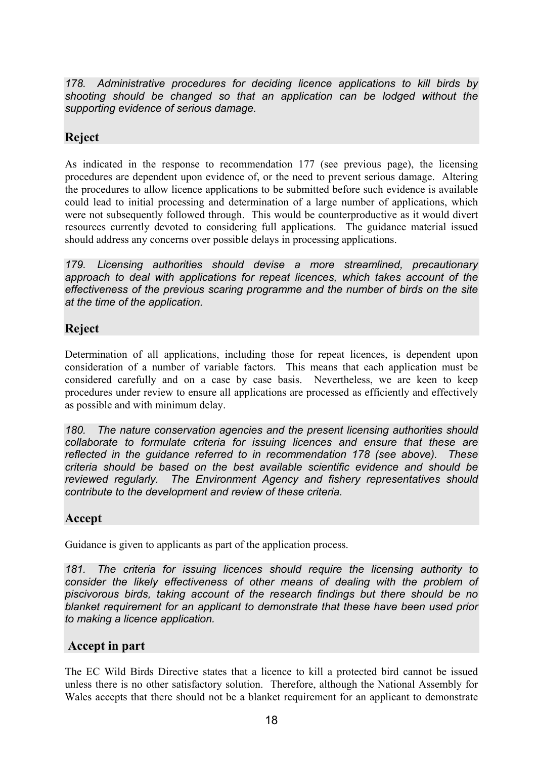*178. Administrative procedures for deciding licence applications to kill birds by shooting should be changed so that an application can be lodged without the supporting evidence of serious damage.* 

#### **Reject**

As indicated in the response to recommendation 177 (see previous page), the licensing procedures are dependent upon evidence of, or the need to prevent serious damage. Altering the procedures to allow licence applications to be submitted before such evidence is available could lead to initial processing and determination of a large number of applications, which were not subsequently followed through. This would be counterproductive as it would divert resources currently devoted to considering full applications. The guidance material issued should address any concerns over possible delays in processing applications.

*179. Licensing authorities should devise a more streamlined, precautionary approach to deal with applications for repeat licences, which takes account of the effectiveness of the previous scaring programme and the number of birds on the site at the time of the application.* 

#### **Reject**

Determination of all applications, including those for repeat licences, is dependent upon consideration of a number of variable factors. This means that each application must be considered carefully and on a case by case basis. Nevertheless, we are keen to keep procedures under review to ensure all applications are processed as efficiently and effectively as possible and with minimum delay.

*180. The nature conservation agencies and the present licensing authorities should collaborate to formulate criteria for issuing licences and ensure that these are reflected in the guidance referred to in recommendation 178 (see above). These criteria should be based on the best available scientific evidence and should be reviewed regularly. The Environment Agency and fishery representatives should contribute to the development and review of these criteria.* 

#### **Accept**

Guidance is given to applicants as part of the application process.

*181. The criteria for issuing licences should require the licensing authority to consider the likely effectiveness of other means of dealing with the problem of piscivorous birds, taking account of the research findings but there should be no blanket requirement for an applicant to demonstrate that these have been used prior to making a licence application.* 

#### **Accept in part**

The EC Wild Birds Directive states that a licence to kill a protected bird cannot be issued unless there is no other satisfactory solution. Therefore, although the National Assembly for Wales accepts that there should not be a blanket requirement for an applicant to demonstrate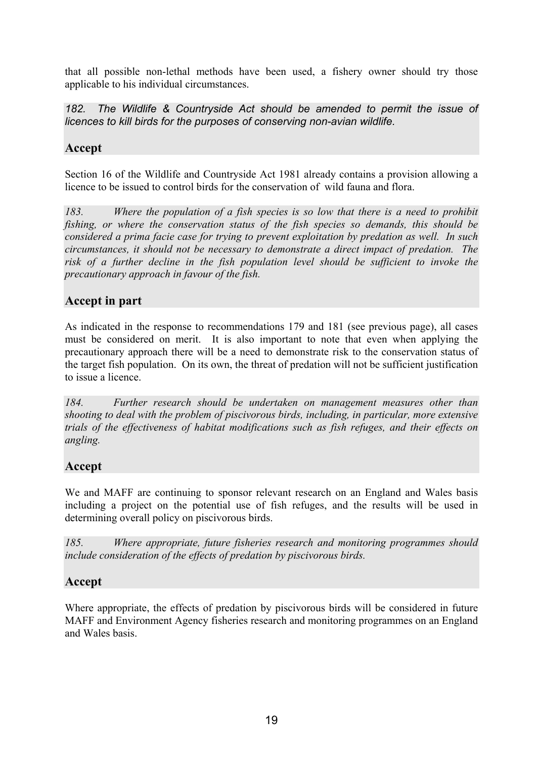that all possible non-lethal methods have been used, a fishery owner should try those applicable to his individual circumstances.

*182. The Wildlife & Countryside Act should be amended to permit the issue of licences to kill birds for the purposes of conserving non-avian wildlife.* 

#### **Accept**

Section 16 of the Wildlife and Countryside Act 1981 already contains a provision allowing a licence to be issued to control birds for the conservation of wild fauna and flora.

*183. Where the population of a fish species is so low that there is a need to prohibit fishing, or where the conservation status of the fish species so demands, this should be considered a prima facie case for trying to prevent exploitation by predation as well. In such circumstances, it should not be necessary to demonstrate a direct impact of predation. The risk of a further decline in the fish population level should be sufficient to invoke the precautionary approach in favour of the fish.* 

### **Accept in part**

As indicated in the response to recommendations 179 and 181 (see previous page), all cases must be considered on merit. It is also important to note that even when applying the precautionary approach there will be a need to demonstrate risk to the conservation status of the target fish population. On its own, the threat of predation will not be sufficient justification to issue a licence.

*184. Further research should be undertaken on management measures other than shooting to deal with the problem of piscivorous birds, including, in particular, more extensive trials of the effectiveness of habitat modifications such as fish refuges, and their effects on angling.* 

### **Accept**

We and MAFF are continuing to sponsor relevant research on an England and Wales basis including a project on the potential use of fish refuges, and the results will be used in determining overall policy on piscivorous birds.

*185. Where appropriate, future fisheries research and monitoring programmes should include consideration of the effects of predation by piscivorous birds.* 

#### **Accept**

Where appropriate, the effects of predation by piscivorous birds will be considered in future MAFF and Environment Agency fisheries research and monitoring programmes on an England and Wales basis.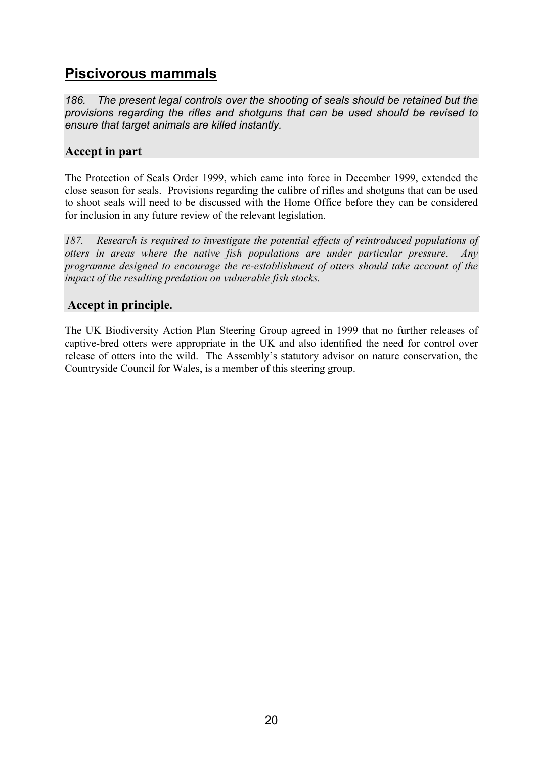# **Piscivorous mammals**

*186. The present legal controls over the shooting of seals should be retained but the provisions regarding the rifles and shotguns that can be used should be revised to ensure that target animals are killed instantly.* 

#### **Accept in part**

The Protection of Seals Order 1999, which came into force in December 1999, extended the close season for seals. Provisions regarding the calibre of rifles and shotguns that can be used to shoot seals will need to be discussed with the Home Office before they can be considered for inclusion in any future review of the relevant legislation.

*187. Research is required to investigate the potential effects of reintroduced populations of otters in areas where the native fish populations are under particular pressure. Any programme designed to encourage the re-establishment of otters should take account of the impact of the resulting predation on vulnerable fish stocks.* 

#### **Accept in principle.**

The UK Biodiversity Action Plan Steering Group agreed in 1999 that no further releases of captive-bred otters were appropriate in the UK and also identified the need for control over release of otters into the wild. The Assembly's statutory advisor on nature conservation, the Countryside Council for Wales, is a member of this steering group.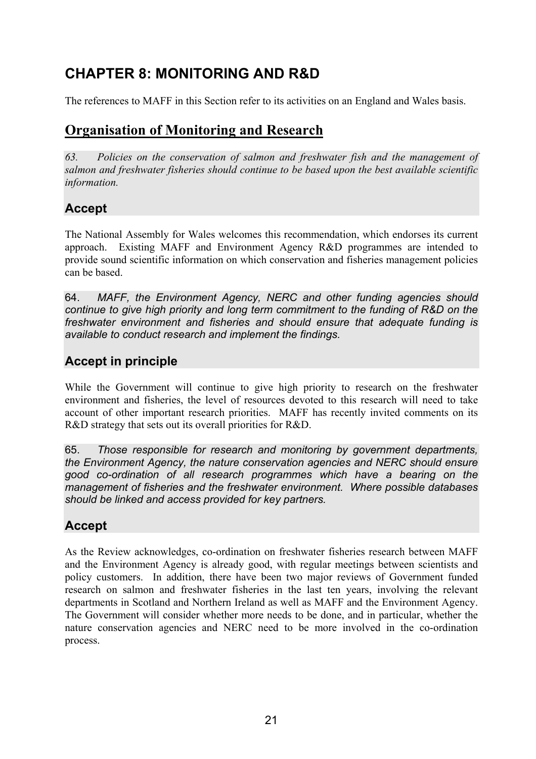# **CHAPTER 8: MONITORING AND R&D**

The references to MAFF in this Section refer to its activities on an England and Wales basis.

# **Organisation of Monitoring and Research**

*63. Policies on the conservation of salmon and freshwater fish and the management of salmon and freshwater fisheries should continue to be based upon the best available scientific information.* 

### **Accept**

The National Assembly for Wales welcomes this recommendation, which endorses its current approach. Existing MAFF and Environment Agency R&D programmes are intended to provide sound scientific information on which conservation and fisheries management policies can be based.

64. *MAFF, the Environment Agency, NERC and other funding agencies should continue to give high priority and long term commitment to the funding of R&D on the freshwater environment and fisheries and should ensure that adequate funding is available to conduct research and implement the findings.* 

## **Accept in principle**

While the Government will continue to give high priority to research on the freshwater environment and fisheries, the level of resources devoted to this research will need to take account of other important research priorities. MAFF has recently invited comments on its R&D strategy that sets out its overall priorities for R&D.

65. *Those responsible for research and monitoring by government departments, the Environment Agency, the nature conservation agencies and NERC should ensure good co-ordination of all research programmes which have a bearing on the management of fisheries and the freshwater environment. Where possible databases should be linked and access provided for key partners.*

# **Accept**

As the Review acknowledges, co-ordination on freshwater fisheries research between MAFF and the Environment Agency is already good, with regular meetings between scientists and policy customers. In addition, there have been two major reviews of Government funded research on salmon and freshwater fisheries in the last ten years, involving the relevant departments in Scotland and Northern Ireland as well as MAFF and the Environment Agency. The Government will consider whether more needs to be done, and in particular, whether the nature conservation agencies and NERC need to be more involved in the co-ordination process.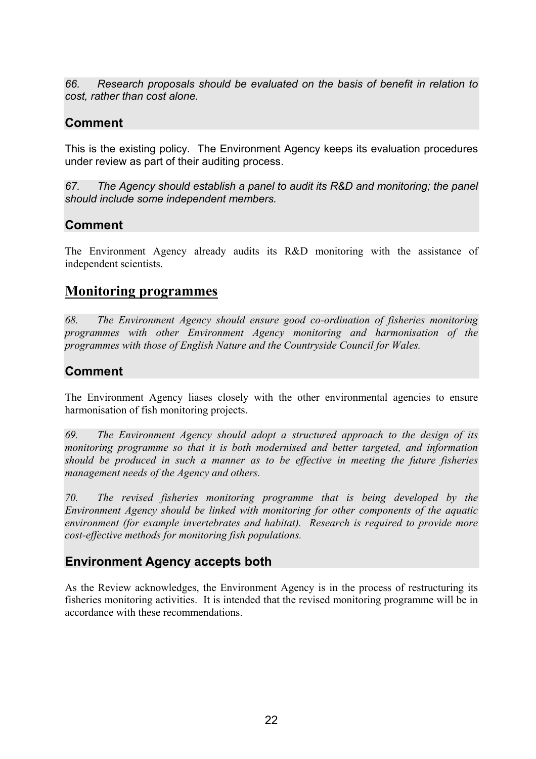*66. Research proposals should be evaluated on the basis of benefit in relation to cost, rather than cost alone.* 

## **Comment**

This is the existing policy. The Environment Agency keeps its evaluation procedures under review as part of their auditing process.

*67. The Agency should establish a panel to audit its R&D and monitoring; the panel should include some independent members.* 

#### **Comment**

The Environment Agency already audits its R&D monitoring with the assistance of independent scientists.

### **Monitoring programmes**

*68. The Environment Agency should ensure good co-ordination of fisheries monitoring programmes with other Environment Agency monitoring and harmonisation of the programmes with those of English Nature and the Countryside Council for Wales.* 

## **Comment**

The Environment Agency liases closely with the other environmental agencies to ensure harmonisation of fish monitoring projects.

*69. The Environment Agency should adopt a structured approach to the design of its monitoring programme so that it is both modernised and better targeted, and information should be produced in such a manner as to be effective in meeting the future fisheries management needs of the Agency and others.* 

*70. The revised fisheries monitoring programme that is being developed by the Environment Agency should be linked with monitoring for other components of the aquatic environment (for example invertebrates and habitat). Research is required to provide more cost-effective methods for monitoring fish populations.* 

### **Environment Agency accepts both**

As the Review acknowledges, the Environment Agency is in the process of restructuring its fisheries monitoring activities. It is intended that the revised monitoring programme will be in accordance with these recommendations.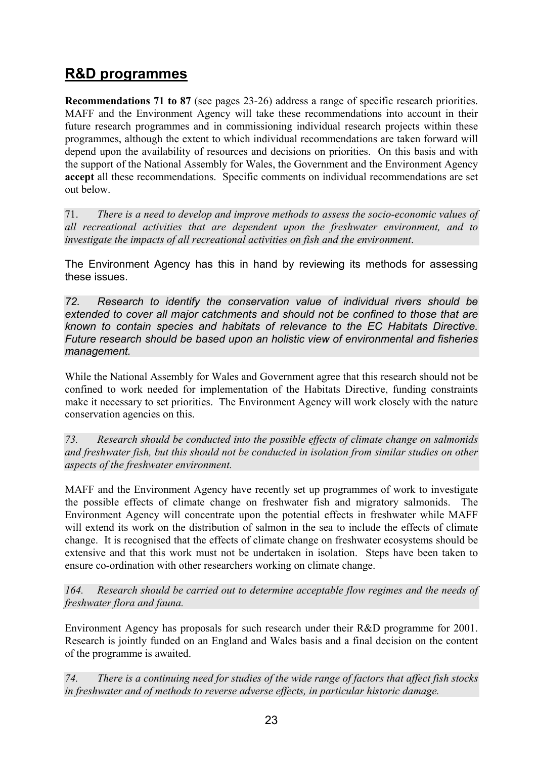# **R&D programmes**

**Recommendations 71 to 87** (see pages 23-26) address a range of specific research priorities. MAFF and the Environment Agency will take these recommendations into account in their future research programmes and in commissioning individual research projects within these programmes, although the extent to which individual recommendations are taken forward will depend upon the availability of resources and decisions on priorities. On this basis and with the support of the National Assembly for Wales, the Government and the Environment Agency **accept** all these recommendations. Specific comments on individual recommendations are set out below.

71. *There is a need to develop and improve methods to assess the socio-economic values of all recreational activities that are dependent upon the freshwater environment, and to investigate the impacts of all recreational activities on fish and the environment*.

The Environment Agency has this in hand by reviewing its methods for assessing these issues.

*72. Research to identify the conservation value of individual rivers should be extended to cover all major catchments and should not be confined to those that are known to contain species and habitats of relevance to the EC Habitats Directive. Future research should be based upon an holistic view of environmental and fisheries management.*

While the National Assembly for Wales and Government agree that this research should not be confined to work needed for implementation of the Habitats Directive, funding constraints make it necessary to set priorities. The Environment Agency will work closely with the nature conservation agencies on this.

*73. Research should be conducted into the possible effects of climate change on salmonids and freshwater fish, but this should not be conducted in isolation from similar studies on other aspects of the freshwater environment.* 

MAFF and the Environment Agency have recently set up programmes of work to investigate the possible effects of climate change on freshwater fish and migratory salmonids. The Environment Agency will concentrate upon the potential effects in freshwater while MAFF will extend its work on the distribution of salmon in the sea to include the effects of climate change. It is recognised that the effects of climate change on freshwater ecosystems should be extensive and that this work must not be undertaken in isolation. Steps have been taken to ensure co-ordination with other researchers working on climate change.

*164. Research should be carried out to determine acceptable flow regimes and the needs of freshwater flora and fauna.* 

Environment Agency has proposals for such research under their R&D programme for 2001. Research is jointly funded on an England and Wales basis and a final decision on the content of the programme is awaited.

*74. There is a continuing need for studies of the wide range of factors that affect fish stocks in freshwater and of methods to reverse adverse effects, in particular historic damage.*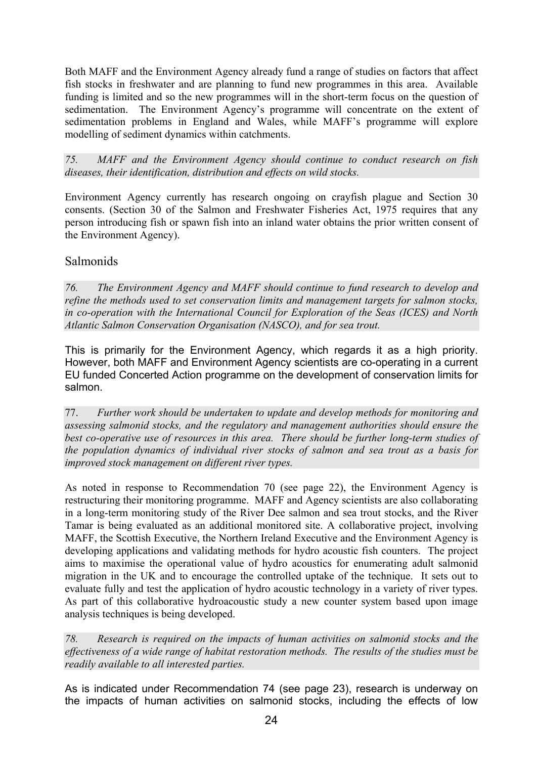Both MAFF and the Environment Agency already fund a range of studies on factors that affect fish stocks in freshwater and are planning to fund new programmes in this area. Available funding is limited and so the new programmes will in the short-term focus on the question of sedimentation. The Environment Agency's programme will concentrate on the extent of sedimentation problems in England and Wales, while MAFF's programme will explore modelling of sediment dynamics within catchments.

*75. MAFF and the Environment Agency should continue to conduct research on fish diseases, their identification, distribution and effects on wild stocks.* 

Environment Agency currently has research ongoing on crayfish plague and Section 30 consents. (Section 30 of the Salmon and Freshwater Fisheries Act, 1975 requires that any person introducing fish or spawn fish into an inland water obtains the prior written consent of the Environment Agency).

#### Salmonids

*76. The Environment Agency and MAFF should continue to fund research to develop and refine the methods used to set conservation limits and management targets for salmon stocks, in co-operation with the International Council for Exploration of the Seas (ICES) and North Atlantic Salmon Conservation Organisation (NASCO), and for sea trout.* 

This is primarily for the Environment Agency, which regards it as a high priority. However, both MAFF and Environment Agency scientists are co-operating in a current EU funded Concerted Action programme on the development of conservation limits for salmon.

77. *Further work should be undertaken to update and develop methods for monitoring and assessing salmonid stocks, and the regulatory and management authorities should ensure the best co-operative use of resources in this area. There should be further long-term studies of the population dynamics of individual river stocks of salmon and sea trout as a basis for improved stock management on different river types.* 

As noted in response to Recommendation 70 (see page 22), the Environment Agency is restructuring their monitoring programme. MAFF and Agency scientists are also collaborating in a long-term monitoring study of the River Dee salmon and sea trout stocks, and the River Tamar is being evaluated as an additional monitored site. A collaborative project, involving MAFF, the Scottish Executive, the Northern Ireland Executive and the Environment Agency is developing applications and validating methods for hydro acoustic fish counters. The project aims to maximise the operational value of hydro acoustics for enumerating adult salmonid migration in the UK and to encourage the controlled uptake of the technique. It sets out to evaluate fully and test the application of hydro acoustic technology in a variety of river types. As part of this collaborative hydroacoustic study a new counter system based upon image analysis techniques is being developed.

*78. Research is required on the impacts of human activities on salmonid stocks and the effectiveness of a wide range of habitat restoration methods. The results of the studies must be readily available to all interested parties.* 

As is indicated under Recommendation 74 (see page 23), research is underway on the impacts of human activities on salmonid stocks, including the effects of low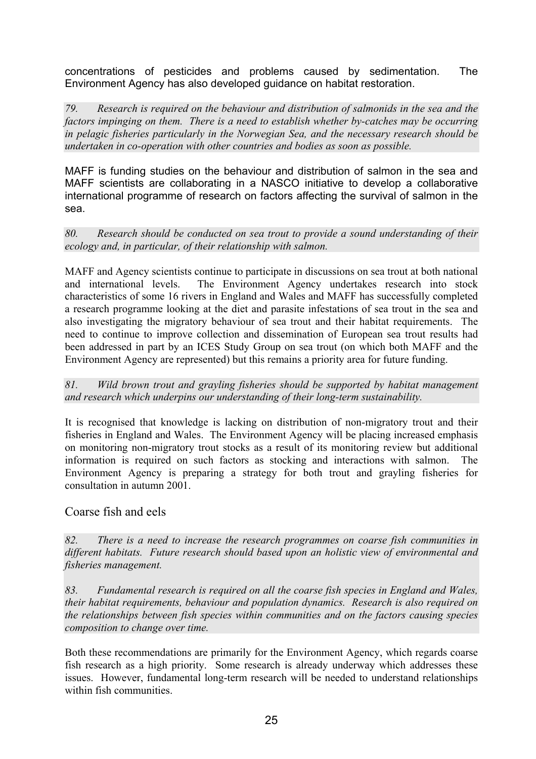concentrations of pesticides and problems caused by sedimentation. The Environment Agency has also developed guidance on habitat restoration.

*79. Research is required on the behaviour and distribution of salmonids in the sea and the factors impinging on them. There is a need to establish whether by-catches may be occurring in pelagic fisheries particularly in the Norwegian Sea, and the necessary research should be undertaken in co-operation with other countries and bodies as soon as possible.* 

MAFF is funding studies on the behaviour and distribution of salmon in the sea and MAFF scientists are collaborating in a NASCO initiative to develop a collaborative international programme of research on factors affecting the survival of salmon in the sea.

*80. Research should be conducted on sea trout to provide a sound understanding of their ecology and, in particular, of their relationship with salmon.* 

MAFF and Agency scientists continue to participate in discussions on sea trout at both national and international levels. The Environment Agency undertakes research into stock characteristics of some 16 rivers in England and Wales and MAFF has successfully completed a research programme looking at the diet and parasite infestations of sea trout in the sea and also investigating the migratory behaviour of sea trout and their habitat requirements. The need to continue to improve collection and dissemination of European sea trout results had been addressed in part by an ICES Study Group on sea trout (on which both MAFF and the Environment Agency are represented) but this remains a priority area for future funding.

*81. Wild brown trout and grayling fisheries should be supported by habitat management and research which underpins our understanding of their long-term sustainability.* 

It is recognised that knowledge is lacking on distribution of non-migratory trout and their fisheries in England and Wales. The Environment Agency will be placing increased emphasis on monitoring non-migratory trout stocks as a result of its monitoring review but additional information is required on such factors as stocking and interactions with salmon. The Environment Agency is preparing a strategy for both trout and grayling fisheries for consultation in autumn 2001.

#### Coarse fish and eels

*82. There is a need to increase the research programmes on coarse fish communities in different habitats. Future research should based upon an holistic view of environmental and fisheries management.* 

*83. Fundamental research is required on all the coarse fish species in England and Wales, their habitat requirements, behaviour and population dynamics. Research is also required on the relationships between fish species within communities and on the factors causing species composition to change over time.* 

Both these recommendations are primarily for the Environment Agency, which regards coarse fish research as a high priority. Some research is already underway which addresses these issues. However, fundamental long-term research will be needed to understand relationships within fish communities.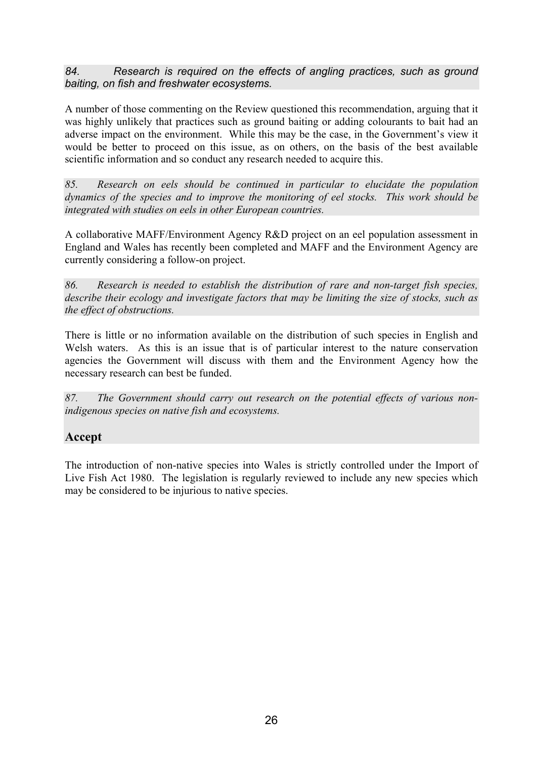*84. Research is required on the effects of angling practices, such as ground baiting, on fish and freshwater ecosystems.* 

A number of those commenting on the Review questioned this recommendation, arguing that it was highly unlikely that practices such as ground baiting or adding colourants to bait had an adverse impact on the environment. While this may be the case, in the Government's view it would be better to proceed on this issue, as on others, on the basis of the best available scientific information and so conduct any research needed to acquire this.

*85. Research on eels should be continued in particular to elucidate the population dynamics of the species and to improve the monitoring of eel stocks. This work should be integrated with studies on eels in other European countries.* 

A collaborative MAFF/Environment Agency R&D project on an eel population assessment in England and Wales has recently been completed and MAFF and the Environment Agency are currently considering a follow-on project.

*86. Research is needed to establish the distribution of rare and non-target fish species, describe their ecology and investigate factors that may be limiting the size of stocks, such as the effect of obstructions.* 

There is little or no information available on the distribution of such species in English and Welsh waters. As this is an issue that is of particular interest to the nature conservation agencies the Government will discuss with them and the Environment Agency how the necessary research can best be funded.

*87. The Government should carry out research on the potential effects of various nonindigenous species on native fish and ecosystems.* 

#### **Accept**

The introduction of non-native species into Wales is strictly controlled under the Import of Live Fish Act 1980. The legislation is regularly reviewed to include any new species which may be considered to be injurious to native species.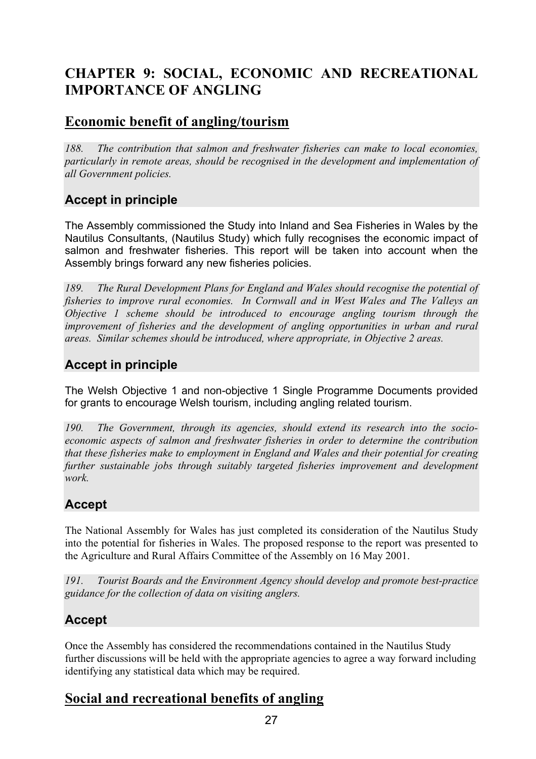# **CHAPTER 9: SOCIAL, ECONOMIC AND RECREATIONAL IMPORTANCE OF ANGLING**

# **Economic benefit of angling/tourism**

*188. The contribution that salmon and freshwater fisheries can make to local economies, particularly in remote areas, should be recognised in the development and implementation of all Government policies.* 

## **Accept in principle**

The Assembly commissioned the Study into Inland and Sea Fisheries in Wales by the Nautilus Consultants, (Nautilus Study) which fully recognises the economic impact of salmon and freshwater fisheries. This report will be taken into account when the Assembly brings forward any new fisheries policies.

*189. The Rural Development Plans for England and Wales should recognise the potential of fisheries to improve rural economies. In Cornwall and in West Wales and The Valleys an Objective 1 scheme should be introduced to encourage angling tourism through the improvement of fisheries and the development of angling opportunities in urban and rural areas. Similar schemes should be introduced, where appropriate, in Objective 2 areas.* 

## **Accept in principle**

The Welsh Objective 1 and non-objective 1 Single Programme Documents provided for grants to encourage Welsh tourism, including angling related tourism.

*190. The Government, through its agencies, should extend its research into the socioeconomic aspects of salmon and freshwater fisheries in order to determine the contribution that these fisheries make to employment in England and Wales and their potential for creating further sustainable jobs through suitably targeted fisheries improvement and development work.* 

## **Accept**

The National Assembly for Wales has just completed its consideration of the Nautilus Study into the potential for fisheries in Wales. The proposed response to the report was presented to the Agriculture and Rural Affairs Committee of the Assembly on 16 May 2001.

*191. Tourist Boards and the Environment Agency should develop and promote best-practice guidance for the collection of data on visiting anglers.* 

## **Accept**

Once the Assembly has considered the recommendations contained in the Nautilus Study further discussions will be held with the appropriate agencies to agree a way forward including identifying any statistical data which may be required.

# **Social and recreational benefits of angling**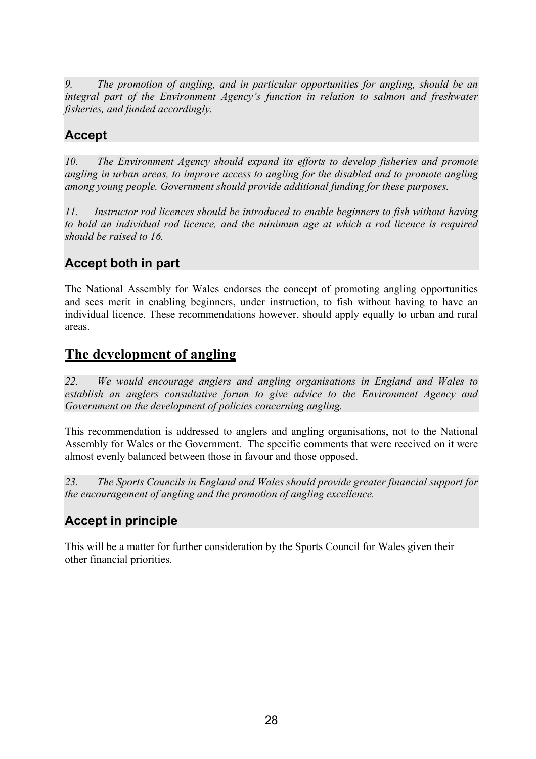*9. The promotion of angling, and in particular opportunities for angling, should be an integral part of the Environment Agency's function in relation to salmon and freshwater fisheries, and funded accordingly.* 

## **Accept**

*10. The Environment Agency should expand its efforts to develop fisheries and promote angling in urban areas, to improve access to angling for the disabled and to promote angling among young people. Government should provide additional funding for these purposes.* 

*11. Instructor rod licences should be introduced to enable beginners to fish without having to hold an individual rod licence, and the minimum age at which a rod licence is required should be raised to 16.* 

## **Accept both in part**

The National Assembly for Wales endorses the concept of promoting angling opportunities and sees merit in enabling beginners, under instruction, to fish without having to have an individual licence. These recommendations however, should apply equally to urban and rural areas.

## **The development of angling**

*22. We would encourage anglers and angling organisations in England and Wales to establish an anglers consultative forum to give advice to the Environment Agency and Government on the development of policies concerning angling.* 

This recommendation is addressed to anglers and angling organisations, not to the National Assembly for Wales or the Government. The specific comments that were received on it were almost evenly balanced between those in favour and those opposed.

*23. The Sports Councils in England and Wales should provide greater financial support for the encouragement of angling and the promotion of angling excellence.* 

## **Accept in principle**

This will be a matter for further consideration by the Sports Council for Wales given their other financial priorities.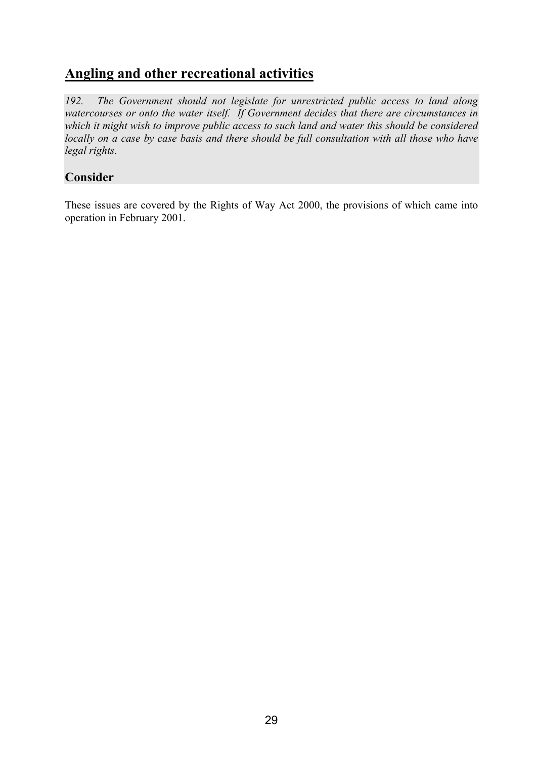# **Angling and other recreational activities**

*192. The Government should not legislate for unrestricted public access to land along watercourses or onto the water itself. If Government decides that there are circumstances in which it might wish to improve public access to such land and water this should be considered locally on a case by case basis and there should be full consultation with all those who have legal rights.* 

#### **Consider**

These issues are covered by the Rights of Way Act 2000, the provisions of which came into operation in February 2001.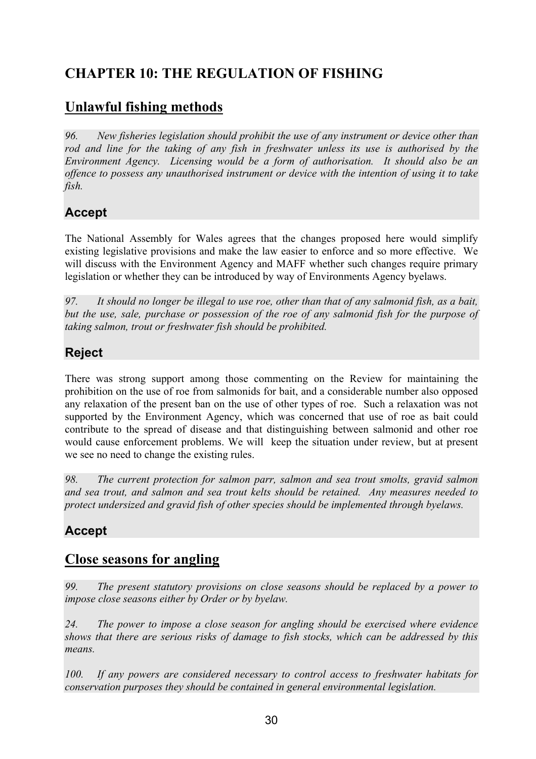# **CHAPTER 10: THE REGULATION OF FISHING**

# **Unlawful fishing methods**

*96. New fisheries legislation should prohibit the use of any instrument or device other than rod and line for the taking of any fish in freshwater unless its use is authorised by the Environment Agency. Licensing would be a form of authorisation. It should also be an offence to possess any unauthorised instrument or device with the intention of using it to take fish.* 

## **Accept**

The National Assembly for Wales agrees that the changes proposed here would simplify existing legislative provisions and make the law easier to enforce and so more effective. We will discuss with the Environment Agency and MAFF whether such changes require primary legislation or whether they can be introduced by way of Environments Agency byelaws.

*97. It should no longer be illegal to use roe, other than that of any salmonid fish, as a bait, but the use, sale, purchase or possession of the roe of any salmonid fish for the purpose of taking salmon, trout or freshwater fish should be prohibited.* 

## **Reject**

There was strong support among those commenting on the Review for maintaining the prohibition on the use of roe from salmonids for bait, and a considerable number also opposed any relaxation of the present ban on the use of other types of roe. Such a relaxation was not supported by the Environment Agency, which was concerned that use of roe as bait could contribute to the spread of disease and that distinguishing between salmonid and other roe would cause enforcement problems. We will keep the situation under review, but at present we see no need to change the existing rules.

*98. The current protection for salmon parr, salmon and sea trout smolts, gravid salmon and sea trout, and salmon and sea trout kelts should be retained. Any measures needed to protect undersized and gravid fish of other species should be implemented through byelaws.* 

# **Accept**

## **Close seasons for angling**

*99. The present statutory provisions on close seasons should be replaced by a power to impose close seasons either by Order or by byelaw.* 

*24. The power to impose a close season for angling should be exercised where evidence shows that there are serious risks of damage to fish stocks, which can be addressed by this means.* 

*100. If any powers are considered necessary to control access to freshwater habitats for conservation purposes they should be contained in general environmental legislation.*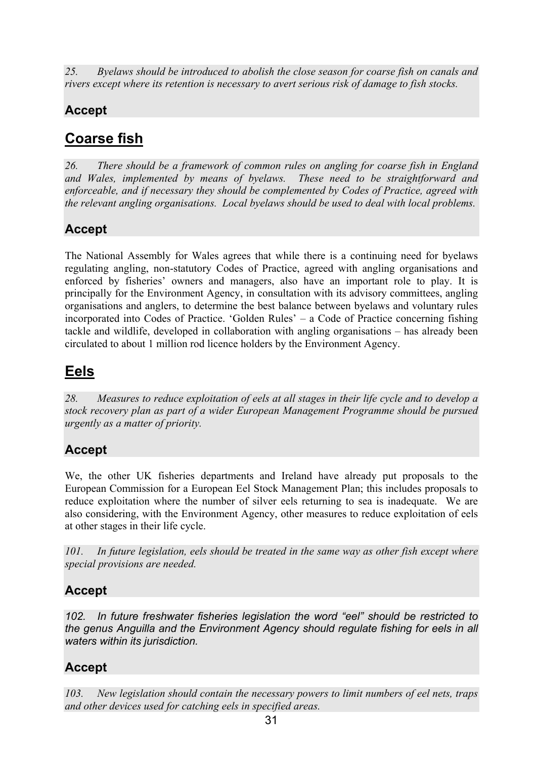*25. Byelaws should be introduced to abolish the close season for coarse fish on canals and rivers except where its retention is necessary to avert serious risk of damage to fish stocks.* 

# **Accept**

# **Coarse fish**

*26. There should be a framework of common rules on angling for coarse fish in England and Wales, implemented by means of byelaws. These need to be straightforward and enforceable, and if necessary they should be complemented by Codes of Practice, agreed with the relevant angling organisations. Local byelaws should be used to deal with local problems.* 

# **Accept**

The National Assembly for Wales agrees that while there is a continuing need for byelaws regulating angling, non-statutory Codes of Practice, agreed with angling organisations and enforced by fisheries' owners and managers, also have an important role to play. It is principally for the Environment Agency, in consultation with its advisory committees, angling organisations and anglers, to determine the best balance between byelaws and voluntary rules incorporated into Codes of Practice. 'Golden Rules' – a Code of Practice concerning fishing tackle and wildlife, developed in collaboration with angling organisations – has already been circulated to about 1 million rod licence holders by the Environment Agency.

# **Eels**

*28. Measures to reduce exploitation of eels at all stages in their life cycle and to develop a stock recovery plan as part of a wider European Management Programme should be pursued urgently as a matter of priority.* 

# **Accept**

We, the other UK fisheries departments and Ireland have already put proposals to the European Commission for a European Eel Stock Management Plan; this includes proposals to reduce exploitation where the number of silver eels returning to sea is inadequate. We are also considering, with the Environment Agency, other measures to reduce exploitation of eels at other stages in their life cycle.

*101. In future legislation, eels should be treated in the same way as other fish except where special provisions are needed.* 

# **Accept**

*102. In future freshwater fisheries legislation the word "eel" should be restricted to the genus Anguilla and the Environment Agency should regulate fishing for eels in all waters within its jurisdiction.* 

# **Accept**

*103. New legislation should contain the necessary powers to limit numbers of eel nets, traps and other devices used for catching eels in specified areas.*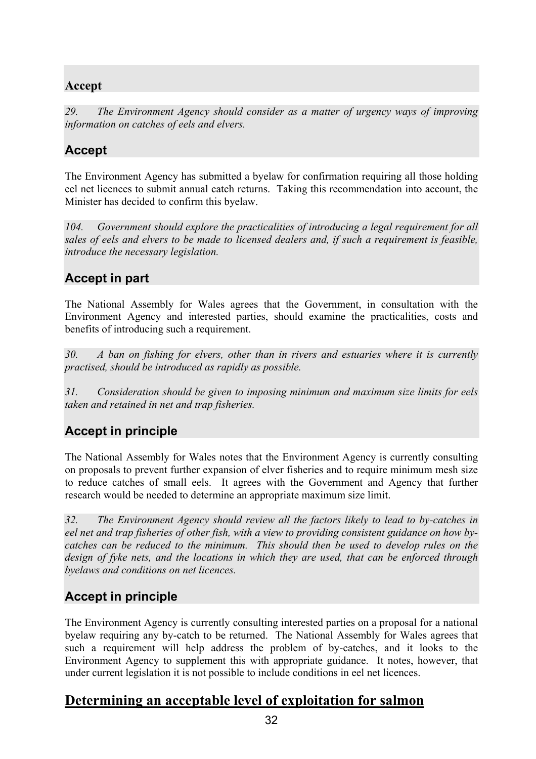## **Accept**

*29. The Environment Agency should consider as a matter of urgency ways of improving information on catches of eels and elvers.* 

# **Accept**

The Environment Agency has submitted a byelaw for confirmation requiring all those holding eel net licences to submit annual catch returns. Taking this recommendation into account, the Minister has decided to confirm this byelaw.

*104. Government should explore the practicalities of introducing a legal requirement for all sales of eels and elvers to be made to licensed dealers and, if such a requirement is feasible, introduce the necessary legislation.* 

# **Accept in part**

The National Assembly for Wales agrees that the Government, in consultation with the Environment Agency and interested parties, should examine the practicalities, costs and benefits of introducing such a requirement.

*30. A ban on fishing for elvers, other than in rivers and estuaries where it is currently practised, should be introduced as rapidly as possible.* 

*31. Consideration should be given to imposing minimum and maximum size limits for eels taken and retained in net and trap fisheries.* 

## **Accept in principle**

The National Assembly for Wales notes that the Environment Agency is currently consulting on proposals to prevent further expansion of elver fisheries and to require minimum mesh size to reduce catches of small eels. It agrees with the Government and Agency that further research would be needed to determine an appropriate maximum size limit.

*32. The Environment Agency should review all the factors likely to lead to by-catches in eel net and trap fisheries of other fish, with a view to providing consistent guidance on how bycatches can be reduced to the minimum. This should then be used to develop rules on the design of fyke nets, and the locations in which they are used, that can be enforced through byelaws and conditions on net licences.* 

# **Accept in principle**

The Environment Agency is currently consulting interested parties on a proposal for a national byelaw requiring any by-catch to be returned. The National Assembly for Wales agrees that such a requirement will help address the problem of by-catches, and it looks to the Environment Agency to supplement this with appropriate guidance. It notes, however, that under current legislation it is not possible to include conditions in eel net licences.

## **Determining an acceptable level of exploitation for salmon**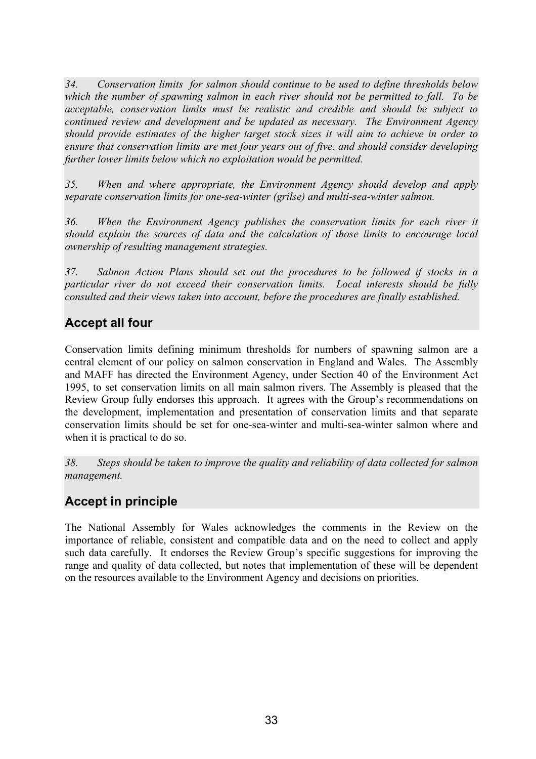*34. Conservation limits for salmon should continue to be used to define thresholds below which the number of spawning salmon in each river should not be permitted to fall. To be acceptable, conservation limits must be realistic and credible and should be subject to continued review and development and be updated as necessary. The Environment Agency should provide estimates of the higher target stock sizes it will aim to achieve in order to ensure that conservation limits are met four years out of five, and should consider developing further lower limits below which no exploitation would be permitted.* 

*35. When and where appropriate, the Environment Agency should develop and apply separate conservation limits for one-sea-winter (grilse) and multi-sea-winter salmon.* 

*36. When the Environment Agency publishes the conservation limits for each river it should explain the sources of data and the calculation of those limits to encourage local ownership of resulting management strategies.* 

*37. Salmon Action Plans should set out the procedures to be followed if stocks in a particular river do not exceed their conservation limits. Local interests should be fully consulted and their views taken into account, before the procedures are finally established.* 

#### **Accept all four**

Conservation limits defining minimum thresholds for numbers of spawning salmon are a central element of our policy on salmon conservation in England and Wales. The Assembly and MAFF has directed the Environment Agency, under Section 40 of the Environment Act 1995, to set conservation limits on all main salmon rivers. The Assembly is pleased that the Review Group fully endorses this approach. It agrees with the Group's recommendations on the development, implementation and presentation of conservation limits and that separate conservation limits should be set for one-sea-winter and multi-sea-winter salmon where and when it is practical to do so.

*38. Steps should be taken to improve the quality and reliability of data collected for salmon management.* 

## **Accept in principle**

The National Assembly for Wales acknowledges the comments in the Review on the importance of reliable, consistent and compatible data and on the need to collect and apply such data carefully. It endorses the Review Group's specific suggestions for improving the range and quality of data collected, but notes that implementation of these will be dependent on the resources available to the Environment Agency and decisions on priorities.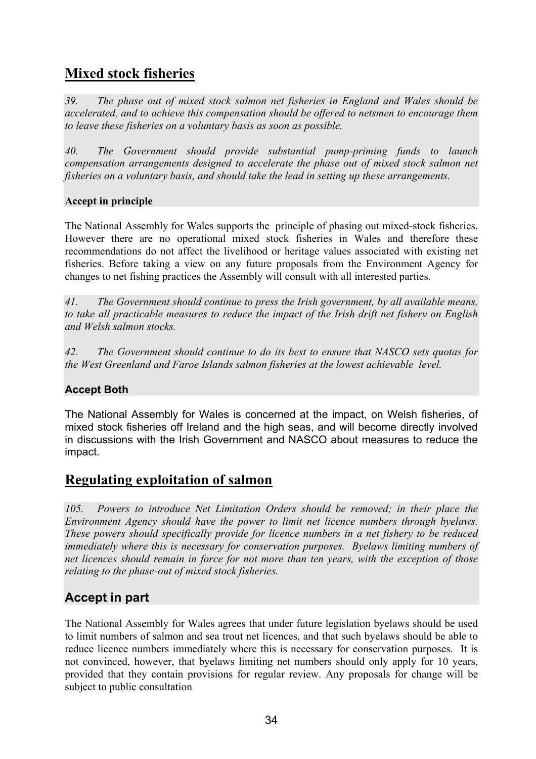# **Mixed stock fisheries**

*39. The phase out of mixed stock salmon net fisheries in England and Wales should be accelerated, and to achieve this compensation should be offered to netsmen to encourage them to leave these fisheries on a voluntary basis as soon as possible.* 

*40. The Government should provide substantial pump-priming funds to launch compensation arrangements designed to accelerate the phase out of mixed stock salmon net fisheries on a voluntary basis, and should take the lead in setting up these arrangements.* 

#### **Accept in principle**

The National Assembly for Wales supports the principle of phasing out mixed-stock fisheries. However there are no operational mixed stock fisheries in Wales and therefore these recommendations do not affect the livelihood or heritage values associated with existing net fisheries. Before taking a view on any future proposals from the Environment Agency for changes to net fishing practices the Assembly will consult with all interested parties.

*41. The Government should continue to press the Irish government, by all available means, to take all practicable measures to reduce the impact of the Irish drift net fishery on English and Welsh salmon stocks.*

*42. The Government should continue to do its best to ensure that NASCO sets quotas for the West Greenland and Faroe Islands salmon fisheries at the lowest achievable level.* 

#### **Accept Both**

The National Assembly for Wales is concerned at the impact, on Welsh fisheries, of mixed stock fisheries off Ireland and the high seas, and will become directly involved in discussions with the Irish Government and NASCO about measures to reduce the impact.

### **Regulating exploitation of salmon**

*105. Powers to introduce Net Limitation Orders should be removed; in their place the Environment Agency should have the power to limit net licence numbers through byelaws. These powers should specifically provide for licence numbers in a net fishery to be reduced immediately where this is necessary for conservation purposes. Byelaws limiting numbers of net licences should remain in force for not more than ten years, with the exception of those relating to the phase-out of mixed stock fisheries.* 

## **Accept in part**

The National Assembly for Wales agrees that under future legislation byelaws should be used to limit numbers of salmon and sea trout net licences, and that such byelaws should be able to reduce licence numbers immediately where this is necessary for conservation purposes. It is not convinced, however, that byelaws limiting net numbers should only apply for 10 years, provided that they contain provisions for regular review. Any proposals for change will be subject to public consultation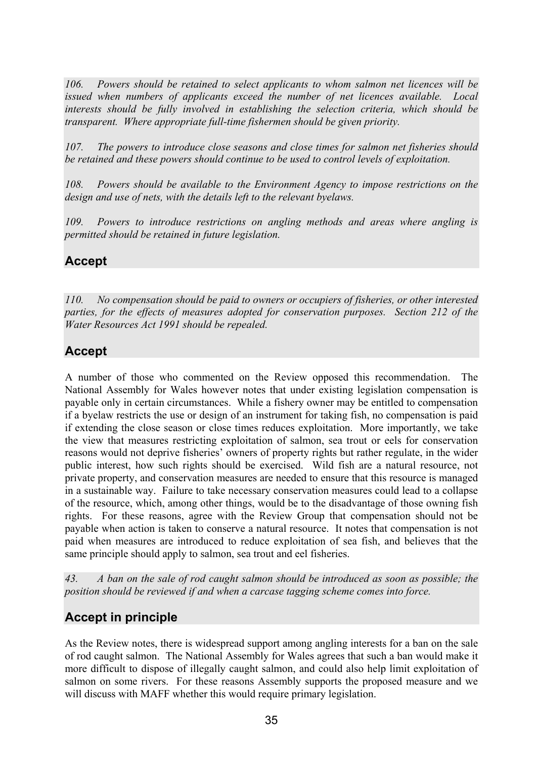*106. Powers should be retained to select applicants to whom salmon net licences will be issued when numbers of applicants exceed the number of net licences available. Local interests should be fully involved in establishing the selection criteria, which should be transparent. Where appropriate full-time fishermen should be given priority.* 

*107. The powers to introduce close seasons and close times for salmon net fisheries should be retained and these powers should continue to be used to control levels of exploitation.* 

*108. Powers should be available to the Environment Agency to impose restrictions on the design and use of nets, with the details left to the relevant byelaws.* 

*109. Powers to introduce restrictions on angling methods and areas where angling is permitted should be retained in future legislation.* 

## **Accept**

*110. No compensation should be paid to owners or occupiers of fisheries, or other interested parties, for the effects of measures adopted for conservation purposes. Section 212 of the Water Resources Act 1991 should be repealed.* 

## **Accept**

A number of those who commented on the Review opposed this recommendation. The National Assembly for Wales however notes that under existing legislation compensation is payable only in certain circumstances. While a fishery owner may be entitled to compensation if a byelaw restricts the use or design of an instrument for taking fish, no compensation is paid if extending the close season or close times reduces exploitation. More importantly, we take the view that measures restricting exploitation of salmon, sea trout or eels for conservation reasons would not deprive fisheries' owners of property rights but rather regulate, in the wider public interest, how such rights should be exercised. Wild fish are a natural resource, not private property, and conservation measures are needed to ensure that this resource is managed in a sustainable way. Failure to take necessary conservation measures could lead to a collapse of the resource, which, among other things, would be to the disadvantage of those owning fish rights. For these reasons, agree with the Review Group that compensation should not be payable when action is taken to conserve a natural resource. It notes that compensation is not paid when measures are introduced to reduce exploitation of sea fish, and believes that the same principle should apply to salmon, sea trout and eel fisheries.

*43. A ban on the sale of rod caught salmon should be introduced as soon as possible; the position should be reviewed if and when a carcase tagging scheme comes into force.* 

## **Accept in principle**

As the Review notes, there is widespread support among angling interests for a ban on the sale of rod caught salmon. The National Assembly for Wales agrees that such a ban would make it more difficult to dispose of illegally caught salmon, and could also help limit exploitation of salmon on some rivers. For these reasons Assembly supports the proposed measure and we will discuss with MAFF whether this would require primary legislation.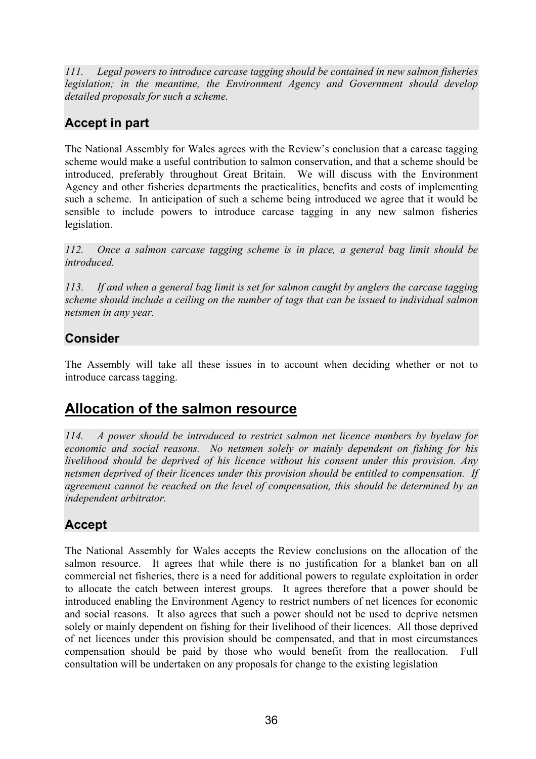*111. Legal powers to introduce carcase tagging should be contained in new salmon fisheries legislation; in the meantime, the Environment Agency and Government should develop detailed proposals for such a scheme.* 

# **Accept in part**

The National Assembly for Wales agrees with the Review's conclusion that a carcase tagging scheme would make a useful contribution to salmon conservation, and that a scheme should be introduced, preferably throughout Great Britain. We will discuss with the Environment Agency and other fisheries departments the practicalities, benefits and costs of implementing such a scheme. In anticipation of such a scheme being introduced we agree that it would be sensible to include powers to introduce carcase tagging in any new salmon fisheries legislation.

*112. Once a salmon carcase tagging scheme is in place, a general bag limit should be introduced.* 

*113. If and when a general bag limit is set for salmon caught by anglers the carcase tagging scheme should include a ceiling on the number of tags that can be issued to individual salmon netsmen in any year.* 

## **Consider**

The Assembly will take all these issues in to account when deciding whether or not to introduce carcass tagging.

# **Allocation of the salmon resource**

*114. A power should be introduced to restrict salmon net licence numbers by byelaw for economic and social reasons. No netsmen solely or mainly dependent on fishing for his livelihood should be deprived of his licence without his consent under this provision. Any netsmen deprived of their licences under this provision should be entitled to compensation. If agreement cannot be reached on the level of compensation, this should be determined by an independent arbitrator.* 

# **Accept**

The National Assembly for Wales accepts the Review conclusions on the allocation of the salmon resource. It agrees that while there is no justification for a blanket ban on all commercial net fisheries, there is a need for additional powers to regulate exploitation in order to allocate the catch between interest groups. It agrees therefore that a power should be introduced enabling the Environment Agency to restrict numbers of net licences for economic and social reasons. It also agrees that such a power should not be used to deprive netsmen solely or mainly dependent on fishing for their livelihood of their licences. All those deprived of net licences under this provision should be compensated, and that in most circumstances compensation should be paid by those who would benefit from the reallocation. Full consultation will be undertaken on any proposals for change to the existing legislation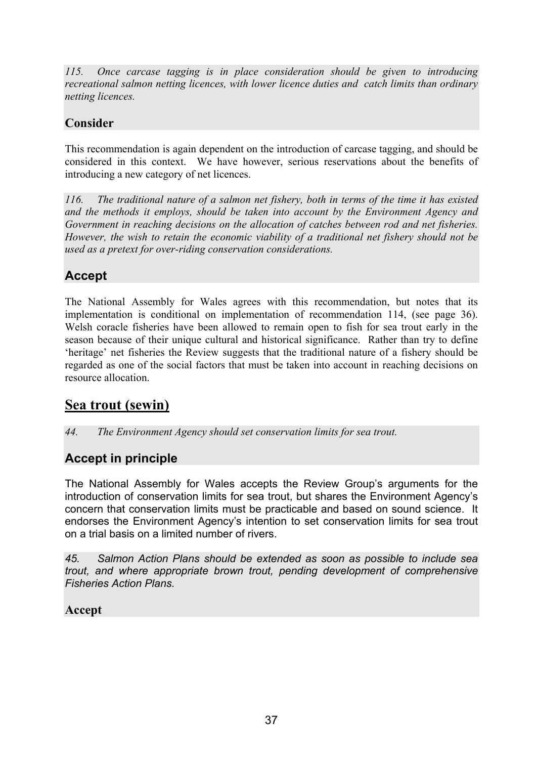*115. Once carcase tagging is in place consideration should be given to introducing recreational salmon netting licences, with lower licence duties and catch limits than ordinary netting licences.* 

## **Consider**

This recommendation is again dependent on the introduction of carcase tagging, and should be considered in this context. We have however, serious reservations about the benefits of introducing a new category of net licences.

*116. The traditional nature of a salmon net fishery, both in terms of the time it has existed and the methods it employs, should be taken into account by the Environment Agency and Government in reaching decisions on the allocation of catches between rod and net fisheries. However, the wish to retain the economic viability of a traditional net fishery should not be used as a pretext for over-riding conservation considerations.* 

## **Accept**

The National Assembly for Wales agrees with this recommendation, but notes that its implementation is conditional on implementation of recommendation 114, (see page 36). Welsh coracle fisheries have been allowed to remain open to fish for sea trout early in the season because of their unique cultural and historical significance. Rather than try to define 'heritage' net fisheries the Review suggests that the traditional nature of a fishery should be regarded as one of the social factors that must be taken into account in reaching decisions on resource allocation.

# **Sea trout (sewin)**

*44. The Environment Agency should set conservation limits for sea trout.* 

## **Accept in principle**

The National Assembly for Wales accepts the Review Group's arguments for the introduction of conservation limits for sea trout, but shares the Environment Agency's concern that conservation limits must be practicable and based on sound science. It endorses the Environment Agency's intention to set conservation limits for sea trout on a trial basis on a limited number of rivers.

*45. Salmon Action Plans should be extended as soon as possible to include sea trout, and where appropriate brown trout, pending development of comprehensive Fisheries Action Plans.* 

### **Accept**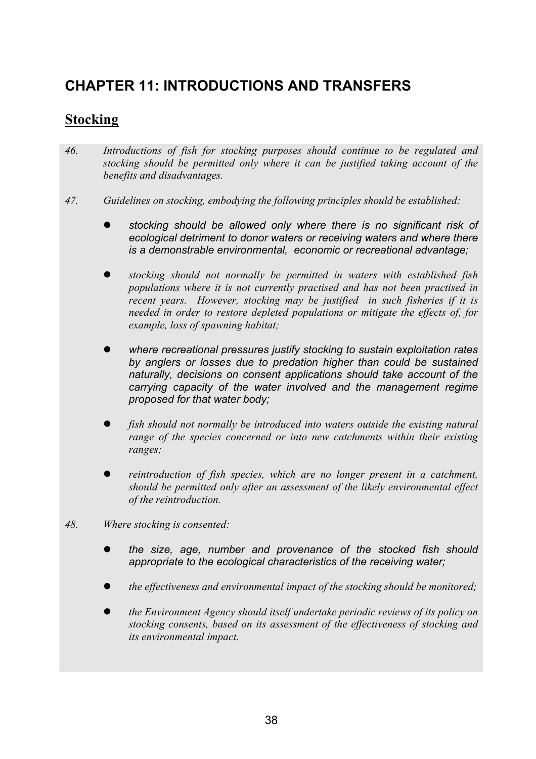# **CHAPTER 11: INTRODUCTIONS AND TRANSFERS**

# **Stocking**

- *46. Introductions of fish for stocking purposes should continue to be regulated and stocking should be permitted only where it can be justified taking account of the benefits and disadvantages.*
- *47. Guidelines on stocking, embodying the following principles should be established:* 
	- z *stocking should be allowed only where there is no significant risk of ecological detriment to donor waters or receiving waters and where there is a demonstrable environmental, economic or recreational advantage;*
	- z *stocking should not normally be permitted in waters with established fish populations where it is not currently practised and has not been practised in recent years. However, stocking may be justified in such fisheries if it is needed in order to restore depleted populations or mitigate the effects of, for example, loss of spawning habitat;*
	- where recreational pressures justify stocking to sustain exploitation rates *by anglers or losses due to predation higher than could be sustained naturally, decisions on consent applications should take account of the carrying capacity of the water involved and the management regime proposed for that water body;*
	- fish should not normally be introduced into waters outside the existing natural *range of the species concerned or into new catchments within their existing ranges;*
	- *reintroduction of fish species, which are no longer present in a catchment, should be permitted only after an assessment of the likely environmental effect of the reintroduction.*
- *48. Where stocking is consented:* 
	- z *the size, age, number and provenance of the stocked fish should appropriate to the ecological characteristics of the receiving water;*
	- *the effectiveness and environmental impact of the stocking should be monitored;*
	- z *the Environment Agency should itself undertake periodic reviews of its policy on stocking consents, based on its assessment of the effectiveness of stocking and its environmental impact.*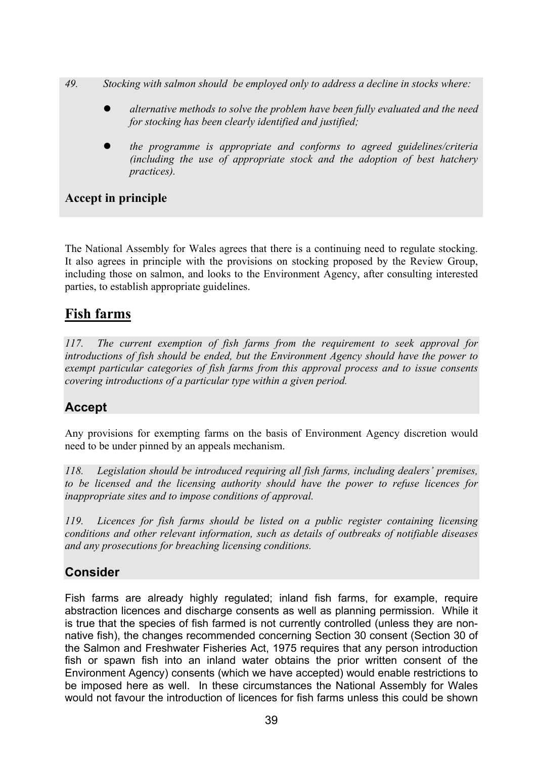- *49. Stocking with salmon should be employed only to address a decline in stocks where:* 
	- z *alternative methods to solve the problem have been fully evaluated and the need for stocking has been clearly identified and justified;*
	- z *the programme is appropriate and conforms to agreed guidelines/criteria (including the use of appropriate stock and the adoption of best hatchery practices).*

### **Accept in principle**

The National Assembly for Wales agrees that there is a continuing need to regulate stocking. It also agrees in principle with the provisions on stocking proposed by the Review Group, including those on salmon, and looks to the Environment Agency, after consulting interested parties, to establish appropriate guidelines.

## **Fish farms**

*117. The current exemption of fish farms from the requirement to seek approval for introductions of fish should be ended, but the Environment Agency should have the power to exempt particular categories of fish farms from this approval process and to issue consents covering introductions of a particular type within a given period.* 

## **Accept**

Any provisions for exempting farms on the basis of Environment Agency discretion would need to be under pinned by an appeals mechanism.

*118. Legislation should be introduced requiring all fish farms, including dealers' premises, to be licensed and the licensing authority should have the power to refuse licences for inappropriate sites and to impose conditions of approval.* 

*119. Licences for fish farms should be listed on a public register containing licensing conditions and other relevant information, such as details of outbreaks of notifiable diseases and any prosecutions for breaching licensing conditions.* 

### **Consider**

Fish farms are already highly regulated; inland fish farms, for example, require abstraction licences and discharge consents as well as planning permission. While it is true that the species of fish farmed is not currently controlled (unless they are nonnative fish), the changes recommended concerning Section 30 consent (Section 30 of the Salmon and Freshwater Fisheries Act, 1975 requires that any person introduction fish or spawn fish into an inland water obtains the prior written consent of the Environment Agency) consents (which we have accepted) would enable restrictions to be imposed here as well. In these circumstances the National Assembly for Wales would not favour the introduction of licences for fish farms unless this could be shown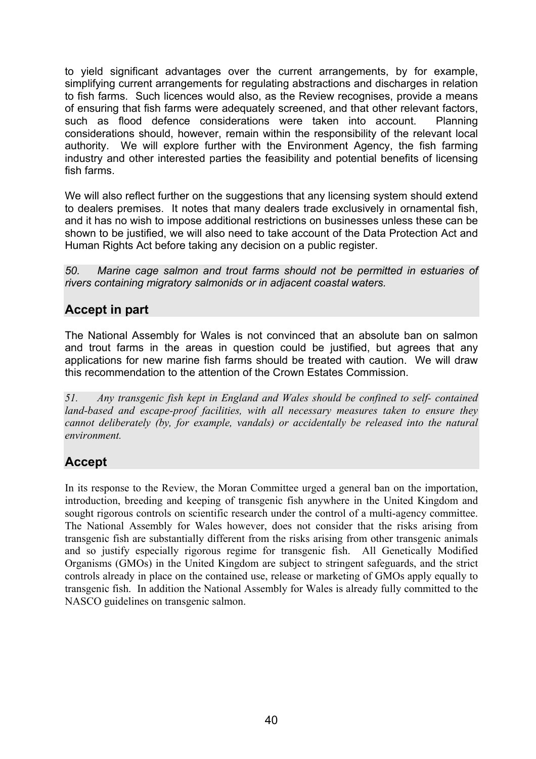to yield significant advantages over the current arrangements, by for example, simplifying current arrangements for regulating abstractions and discharges in relation to fish farms. Such licences would also, as the Review recognises, provide a means of ensuring that fish farms were adequately screened, and that other relevant factors, such as flood defence considerations were taken into account. Planning considerations should, however, remain within the responsibility of the relevant local authority. We will explore further with the Environment Agency, the fish farming industry and other interested parties the feasibility and potential benefits of licensing fish farms.

We will also reflect further on the suggestions that any licensing system should extend to dealers premises. It notes that many dealers trade exclusively in ornamental fish, and it has no wish to impose additional restrictions on businesses unless these can be shown to be justified, we will also need to take account of the Data Protection Act and Human Rights Act before taking any decision on a public register.

*50. Marine cage salmon and trout farms should not be permitted in estuaries of rivers containing migratory salmonids or in adjacent coastal waters.* 

## **Accept in part**

The National Assembly for Wales is not convinced that an absolute ban on salmon and trout farms in the areas in question could be justified, but agrees that any applications for new marine fish farms should be treated with caution. We will draw this recommendation to the attention of the Crown Estates Commission.

*51. Any transgenic fish kept in England and Wales should be confined to self- contained land-based and escape-proof facilities, with all necessary measures taken to ensure they cannot deliberately (by, for example, vandals) or accidentally be released into the natural environment.* 

## **Accept**

In its response to the Review, the Moran Committee urged a general ban on the importation, introduction, breeding and keeping of transgenic fish anywhere in the United Kingdom and sought rigorous controls on scientific research under the control of a multi-agency committee. The National Assembly for Wales however, does not consider that the risks arising from transgenic fish are substantially different from the risks arising from other transgenic animals and so justify especially rigorous regime for transgenic fish. All Genetically Modified Organisms (GMOs) in the United Kingdom are subject to stringent safeguards, and the strict controls already in place on the contained use, release or marketing of GMOs apply equally to transgenic fish. In addition the National Assembly for Wales is already fully committed to the NASCO guidelines on transgenic salmon.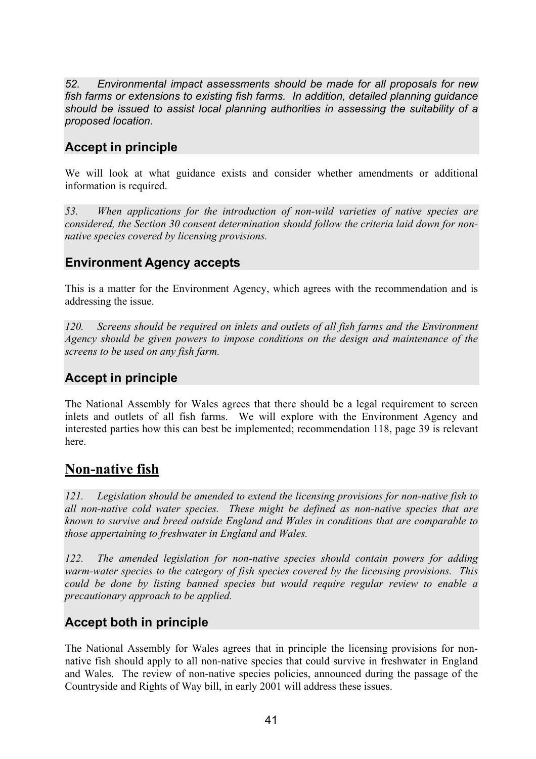*52. Environmental impact assessments should be made for all proposals for new fish farms or extensions to existing fish farms. In addition, detailed planning guidance should be issued to assist local planning authorities in assessing the suitability of a proposed location.* 

## **Accept in principle**

We will look at what guidance exists and consider whether amendments or additional information is required.

*53. When applications for the introduction of non-wild varieties of native species are considered, the Section 30 consent determination should follow the criteria laid down for nonnative species covered by licensing provisions.* 

### **Environment Agency accepts**

This is a matter for the Environment Agency, which agrees with the recommendation and is addressing the issue.

*120. Screens should be required on inlets and outlets of all fish farms and the Environment Agency should be given powers to impose conditions on the design and maintenance of the screens to be used on any fish farm.* 

### **Accept in principle**

The National Assembly for Wales agrees that there should be a legal requirement to screen inlets and outlets of all fish farms. We will explore with the Environment Agency and interested parties how this can best be implemented; recommendation 118, page 39 is relevant here.

## **Non-native fish**

*121. Legislation should be amended to extend the licensing provisions for non-native fish to all non-native cold water species. These might be defined as non-native species that are known to survive and breed outside England and Wales in conditions that are comparable to those appertaining to freshwater in England and Wales.* 

*122. The amended legislation for non-native species should contain powers for adding warm-water species to the category of fish species covered by the licensing provisions. This could be done by listing banned species but would require regular review to enable a precautionary approach to be applied.* 

### **Accept both in principle**

The National Assembly for Wales agrees that in principle the licensing provisions for nonnative fish should apply to all non-native species that could survive in freshwater in England and Wales. The review of non-native species policies, announced during the passage of the Countryside and Rights of Way bill, in early 2001 will address these issues.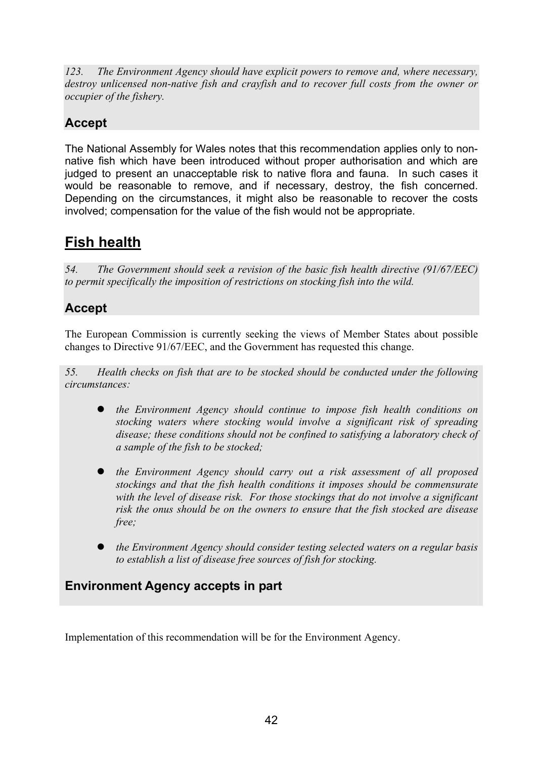*123. The Environment Agency should have explicit powers to remove and, where necessary, destroy unlicensed non-native fish and crayfish and to recover full costs from the owner or occupier of the fishery.* 

# **Accept**

The National Assembly for Wales notes that this recommendation applies only to nonnative fish which have been introduced without proper authorisation and which are judged to present an unacceptable risk to native flora and fauna. In such cases it would be reasonable to remove, and if necessary, destroy, the fish concerned. Depending on the circumstances, it might also be reasonable to recover the costs involved; compensation for the value of the fish would not be appropriate.

# **Fish health**

*54. The Government should seek a revision of the basic fish health directive (91/67/EEC) to permit specifically the imposition of restrictions on stocking fish into the wild.* 

## **Accept**

The European Commission is currently seeking the views of Member States about possible changes to Directive 91/67/EEC, and the Government has requested this change.

*55. Health checks on fish that are to be stocked should be conducted under the following circumstances:* 

- z *the Environment Agency should continue to impose fish health conditions on stocking waters where stocking would involve a significant risk of spreading disease; these conditions should not be confined to satisfying a laboratory check of a sample of the fish to be stocked;*
- the Environment Agency should carry out a risk assessment of all proposed *stockings and that the fish health conditions it imposes should be commensurate with the level of disease risk. For those stockings that do not involve a significant risk the onus should be on the owners to ensure that the fish stocked are disease free;*
- the Environment Agency should consider testing selected waters on a regular basis *to establish a list of disease free sources of fish for stocking.*

### **Environment Agency accepts in part**

Implementation of this recommendation will be for the Environment Agency.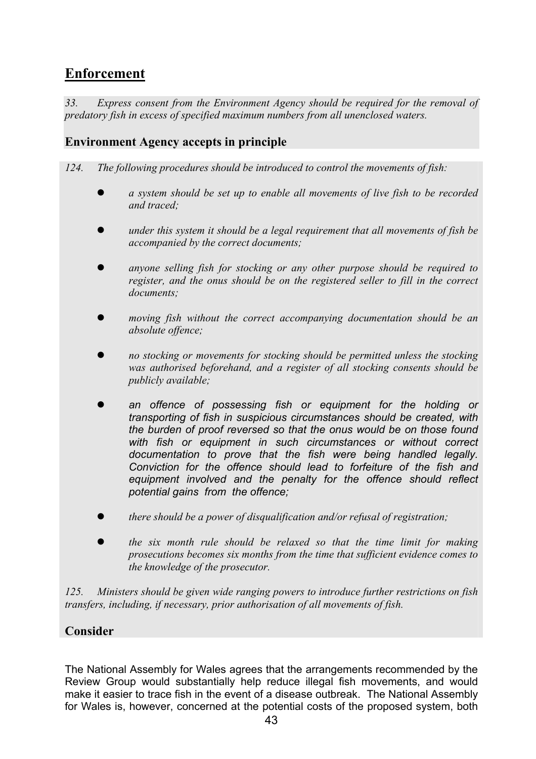# **Enforcement**

*33. Express consent from the Environment Agency should be required for the removal of predatory fish in excess of specified maximum numbers from all unenclosed waters.* 

#### **Environment Agency accepts in principle**

*124. The following procedures should be introduced to control the movements of fish:* 

- z *a system should be set up to enable all movements of live fish to be recorded and traced;*
- *under this system it should be a legal requirement that all movements of fish be accompanied by the correct documents;*
- anyone selling fish for stocking or any other purpose should be required to *register, and the onus should be on the registered seller to fill in the correct documents;*
- *moving fish without the correct accompanying documentation should be an absolute offence;*
- z *no stocking or movements for stocking should be permitted unless the stocking was authorised beforehand, and a register of all stocking consents should be publicly available;*
- an offence of possessing fish or equipment for the holding or *transporting of fish in suspicious circumstances should be created, with the burden of proof reversed so that the onus would be on those found with fish or equipment in such circumstances or without correct documentation to prove that the fish were being handled legally. Conviction for the offence should lead to forfeiture of the fish and equipment involved and the penalty for the offence should reflect potential gains from the offence;*
- z *there should be a power of disqualification and/or refusal of registration;*
- the six month rule should be relaxed so that the time limit for making *prosecutions becomes six months from the time that sufficient evidence comes to the knowledge of the prosecutor.*

*125. Ministers should be given wide ranging powers to introduce further restrictions on fish transfers, including, if necessary, prior authorisation of all movements of fish.* 

#### **Consider**

The National Assembly for Wales agrees that the arrangements recommended by the Review Group would substantially help reduce illegal fish movements, and would make it easier to trace fish in the event of a disease outbreak. The National Assembly for Wales is, however, concerned at the potential costs of the proposed system, both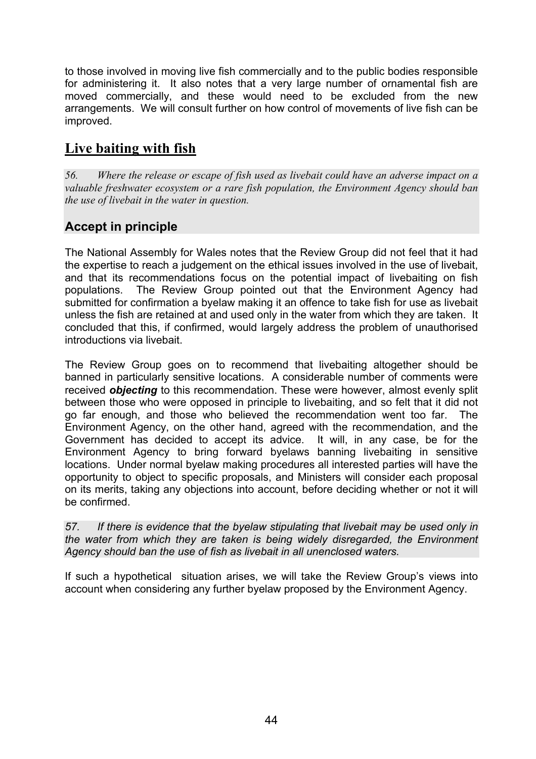to those involved in moving live fish commercially and to the public bodies responsible for administering it. It also notes that a very large number of ornamental fish are moved commercially, and these would need to be excluded from the new arrangements. We will consult further on how control of movements of live fish can be improved.

# **Live baiting with fish**

*56. Where the release or escape of fish used as livebait could have an adverse impact on a valuable freshwater ecosystem or a rare fish population, the Environment Agency should ban the use of livebait in the water in question.* 

## **Accept in principle**

The National Assembly for Wales notes that the Review Group did not feel that it had the expertise to reach a judgement on the ethical issues involved in the use of livebait, and that its recommendations focus on the potential impact of livebaiting on fish populations. The Review Group pointed out that the Environment Agency had submitted for confirmation a byelaw making it an offence to take fish for use as livebait unless the fish are retained at and used only in the water from which they are taken. It concluded that this, if confirmed, would largely address the problem of unauthorised introductions via livebait.

The Review Group goes on to recommend that livebaiting altogether should be banned in particularly sensitive locations. A considerable number of comments were received *objecting* to this recommendation. These were however, almost evenly split between those who were opposed in principle to livebaiting, and so felt that it did not go far enough, and those who believed the recommendation went too far. The Environment Agency, on the other hand, agreed with the recommendation, and the Government has decided to accept its advice. It will, in any case, be for the Environment Agency to bring forward byelaws banning livebaiting in sensitive locations. Under normal byelaw making procedures all interested parties will have the opportunity to object to specific proposals, and Ministers will consider each proposal on its merits, taking any objections into account, before deciding whether or not it will be confirmed.

*57. If there is evidence that the byelaw stipulating that livebait may be used only in the water from which they are taken is being widely disregarded, the Environment Agency should ban the use of fish as livebait in all unenclosed waters.* 

If such a hypothetical situation arises, we will take the Review Group's views into account when considering any further byelaw proposed by the Environment Agency.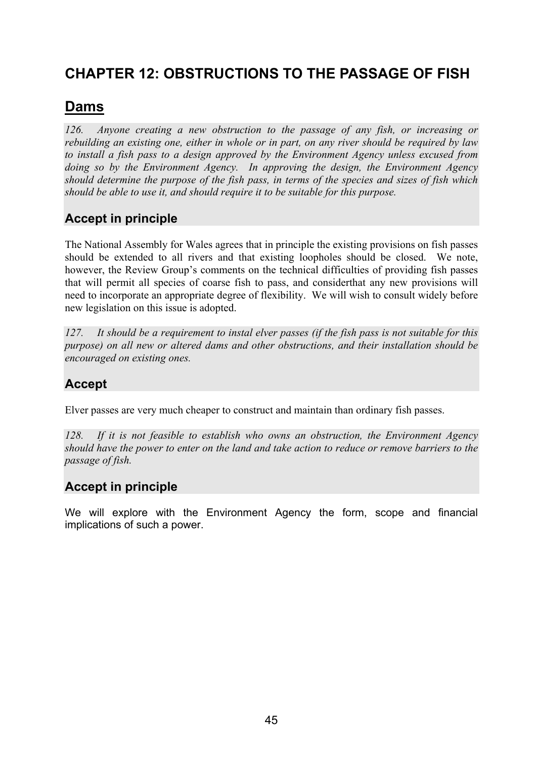# **CHAPTER 12: OBSTRUCTIONS TO THE PASSAGE OF FISH**

# **Dams**

*126. Anyone creating a new obstruction to the passage of any fish, or increasing or rebuilding an existing one, either in whole or in part, on any river should be required by law to install a fish pass to a design approved by the Environment Agency unless excused from doing so by the Environment Agency. In approving the design, the Environment Agency should determine the purpose of the fish pass, in terms of the species and sizes of fish which should be able to use it, and should require it to be suitable for this purpose.* 

# **Accept in principle**

The National Assembly for Wales agrees that in principle the existing provisions on fish passes should be extended to all rivers and that existing loopholes should be closed. We note, however, the Review Group's comments on the technical difficulties of providing fish passes that will permit all species of coarse fish to pass, and considerthat any new provisions will need to incorporate an appropriate degree of flexibility. We will wish to consult widely before new legislation on this issue is adopted.

*127. It should be a requirement to instal elver passes (if the fish pass is not suitable for this purpose) on all new or altered dams and other obstructions, and their installation should be encouraged on existing ones.* 

## **Accept**

Elver passes are very much cheaper to construct and maintain than ordinary fish passes.

*128. If it is not feasible to establish who owns an obstruction, the Environment Agency should have the power to enter on the land and take action to reduce or remove barriers to the passage of fish.* 

## **Accept in principle**

We will explore with the Environment Agency the form, scope and financial implications of such a power.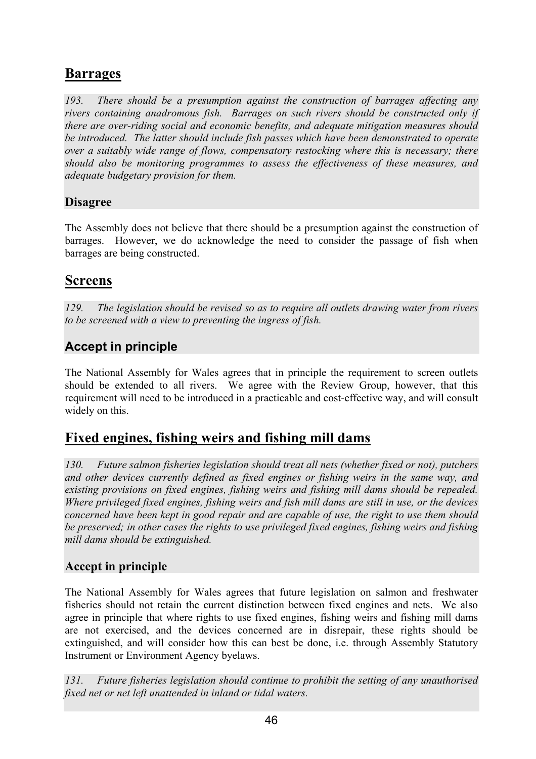# **Barrages**

*193. There should be a presumption against the construction of barrages affecting any rivers containing anadromous fish. Barrages on such rivers should be constructed only if there are over-riding social and economic benefits, and adequate mitigation measures should be introduced. The latter should include fish passes which have been demonstrated to operate over a suitably wide range of flows, compensatory restocking where this is necessary; there should also be monitoring programmes to assess the effectiveness of these measures, and adequate budgetary provision for them.* 

#### **Disagree**

The Assembly does not believe that there should be a presumption against the construction of barrages. However, we do acknowledge the need to consider the passage of fish when barrages are being constructed.

## **Screens**

*129. The legislation should be revised so as to require all outlets drawing water from rivers to be screened with a view to preventing the ingress of fish.* 

## **Accept in principle**

The National Assembly for Wales agrees that in principle the requirement to screen outlets should be extended to all rivers. We agree with the Review Group, however, that this requirement will need to be introduced in a practicable and cost-effective way, and will consult widely on this.

## **Fixed engines, fishing weirs and fishing mill dams**

*130. Future salmon fisheries legislation should treat all nets (whether fixed or not), putchers and other devices currently defined as fixed engines or fishing weirs in the same way, and existing provisions on fixed engines, fishing weirs and fishing mill dams should be repealed. Where privileged fixed engines, fishing weirs and fish mill dams are still in use, or the devices concerned have been kept in good repair and are capable of use, the right to use them should be preserved; in other cases the rights to use privileged fixed engines, fishing weirs and fishing mill dams should be extinguished.* 

### **Accept in principle**

The National Assembly for Wales agrees that future legislation on salmon and freshwater fisheries should not retain the current distinction between fixed engines and nets. We also agree in principle that where rights to use fixed engines, fishing weirs and fishing mill dams are not exercised, and the devices concerned are in disrepair, these rights should be extinguished, and will consider how this can best be done, i.e. through Assembly Statutory Instrument or Environment Agency byelaws.

*131. Future fisheries legislation should continue to prohibit the setting of any unauthorised fixed net or net left unattended in inland or tidal waters.*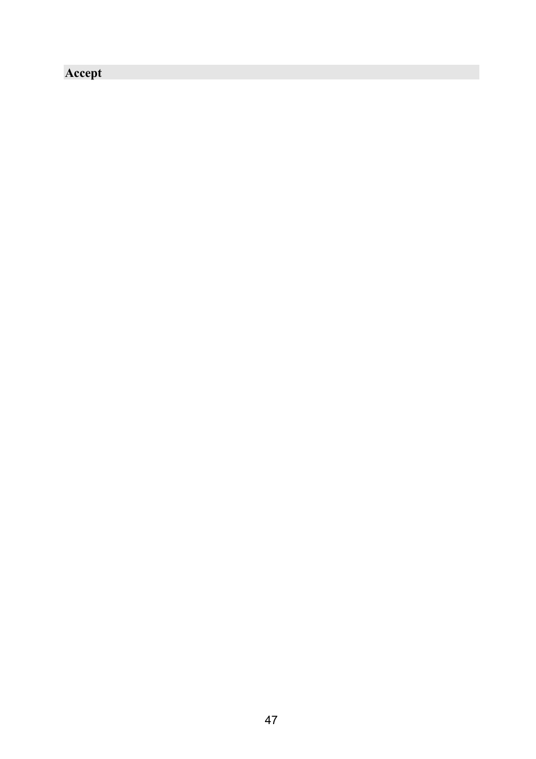# **Accept**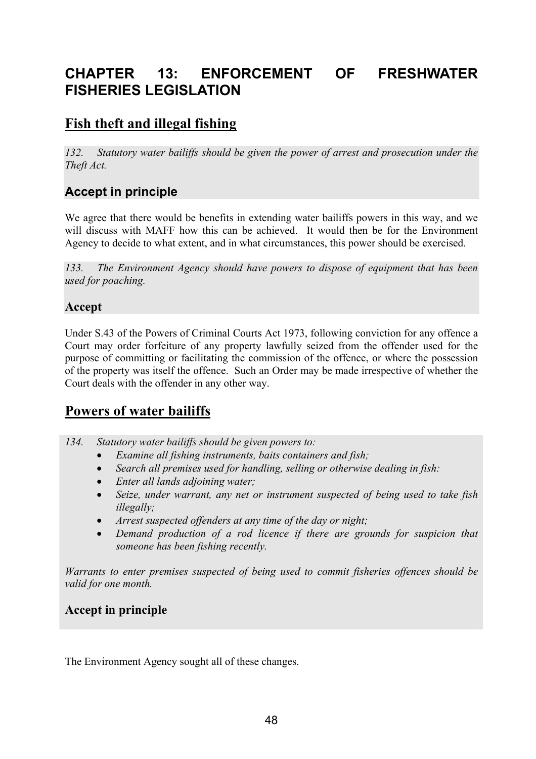# **CHAPTER 13: ENFORCEMENT OF FRESHWATER FISHERIES LEGISLATION**

# **Fish theft and illegal fishing**

*132. Statutory water bailiffs should be given the power of arrest and prosecution under the Theft Act.* 

## **Accept in principle**

We agree that there would be benefits in extending water bailiffs powers in this way, and we will discuss with MAFF how this can be achieved. It would then be for the Environment Agency to decide to what extent, and in what circumstances, this power should be exercised.

*133. The Environment Agency should have powers to dispose of equipment that has been used for poaching.* 

#### **Accept**

Under S.43 of the Powers of Criminal Courts Act 1973, following conviction for any offence a Court may order forfeiture of any property lawfully seized from the offender used for the purpose of committing or facilitating the commission of the offence, or where the possession of the property was itself the offence. Such an Order may be made irrespective of whether the Court deals with the offender in any other way.

# **Powers of water bailiffs**

- *134. Statutory water bailiffs should be given powers to:* 
	- *Examine all fishing instruments, baits containers and fish;*
	- *Search all premises used for handling, selling or otherwise dealing in fish:*
	- *Enter all lands adjoining water;*
	- *Seize, under warrant, any net or instrument suspected of being used to take fish illegally;*
	- *Arrest suspected offenders at any time of the day or night;*
	- *Demand production of a rod licence if there are grounds for suspicion that someone has been fishing recently.*

*Warrants to enter premises suspected of being used to commit fisheries offences should be valid for one month.* 

### **Accept in principle**

The Environment Agency sought all of these changes.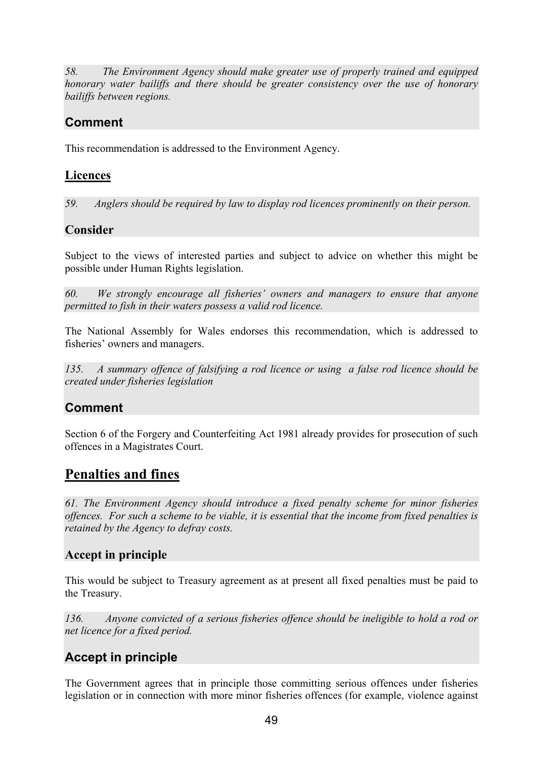*58. The Environment Agency should make greater use of properly trained and equipped honorary water bailiffs and there should be greater consistency over the use of honorary bailiffs between regions.* 

# **Comment**

This recommendation is addressed to the Environment Agency.

#### **Licences**

*59. Anglers should be required by law to display rod licences prominently on their person.* 

#### **Consider**

Subject to the views of interested parties and subject to advice on whether this might be possible under Human Rights legislation.

*60. We strongly encourage all fisheries' owners and managers to ensure that anyone permitted to fish in their waters possess a valid rod licence.* 

The National Assembly for Wales endorses this recommendation, which is addressed to fisheries' owners and managers.

*135. A summary offence of falsifying a rod licence or using a false rod licence should be created under fisheries legislation* 

## **Comment**

Section 6 of the Forgery and Counterfeiting Act 1981 already provides for prosecution of such offences in a Magistrates Court.

## **Penalties and fines**

*61. The Environment Agency should introduce a fixed penalty scheme for minor fisheries offences. For such a scheme to be viable, it is essential that the income from fixed penalties is retained by the Agency to defray costs.* 

### **Accept in principle**

This would be subject to Treasury agreement as at present all fixed penalties must be paid to the Treasury.

*136. Anyone convicted of a serious fisheries offence should be ineligible to hold a rod or net licence for a fixed period.* 

## **Accept in principle**

The Government agrees that in principle those committing serious offences under fisheries legislation or in connection with more minor fisheries offences (for example, violence against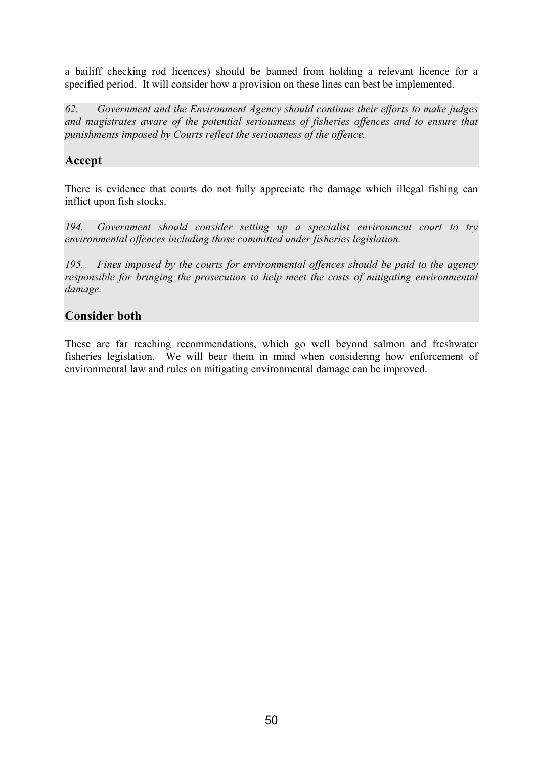a bailiff checking rod licences) should be banned from holding a relevant licence for a specified period. It will consider how a provision on these lines can best be implemented.

*62. Government and the Environment Agency should continue their efforts to make judges and magistrates aware of the potential seriousness of fisheries offences and to ensure that punishments imposed by Courts reflect the seriousness of the offence.* 

#### **Accept**

There is evidence that courts do not fully appreciate the damage which illegal fishing can inflict upon fish stocks.

*194. Government should consider setting up a specialist environment court to try environmental offences including those committed under fisheries legislation.* 

*195. Fines imposed by the courts for environmental offences should be paid to the agency responsible for bringing the prosecution to help meet the costs of mitigating environmental damage.* 

#### **Consider both**

These are far reaching recommendations, which go well beyond salmon and freshwater fisheries legislation. We will bear them in mind when considering how enforcement of environmental law and rules on mitigating environmental damage can be improved.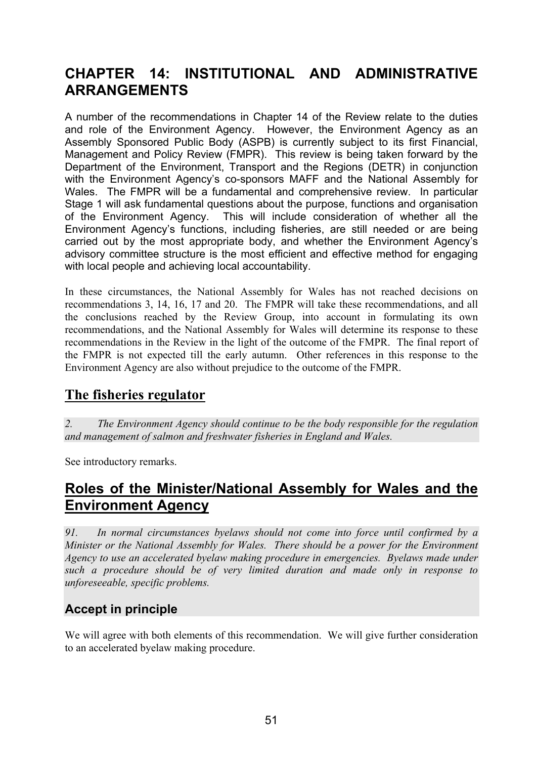# **CHAPTER 14: INSTITUTIONAL AND ADMINISTRATIVE ARRANGEMENTS**

A number of the recommendations in Chapter 14 of the Review relate to the duties and role of the Environment Agency. However, the Environment Agency as an Assembly Sponsored Public Body (ASPB) is currently subject to its first Financial, Management and Policy Review (FMPR). This review is being taken forward by the Department of the Environment, Transport and the Regions (DETR) in conjunction with the Environment Agency's co-sponsors MAFF and the National Assembly for Wales. The FMPR will be a fundamental and comprehensive review. In particular Stage 1 will ask fundamental questions about the purpose, functions and organisation of the Environment Agency. This will include consideration of whether all the Environment Agency's functions, including fisheries, are still needed or are being carried out by the most appropriate body, and whether the Environment Agency's advisory committee structure is the most efficient and effective method for engaging with local people and achieving local accountability.

In these circumstances, the National Assembly for Wales has not reached decisions on recommendations 3, 14, 16, 17 and 20. The FMPR will take these recommendations, and all the conclusions reached by the Review Group, into account in formulating its own recommendations, and the National Assembly for Wales will determine its response to these recommendations in the Review in the light of the outcome of the FMPR. The final report of the FMPR is not expected till the early autumn. Other references in this response to the Environment Agency are also without prejudice to the outcome of the FMPR.

## **The fisheries regulator**

*2. The Environment Agency should continue to be the body responsible for the regulation and management of salmon and freshwater fisheries in England and Wales.* 

See introductory remarks.

# **Roles of the Minister/National Assembly for Wales and the Environment Agency**

*91. In normal circumstances byelaws should not come into force until confirmed by a Minister or the National Assembly for Wales. There should be a power for the Environment Agency to use an accelerated byelaw making procedure in emergencies. Byelaws made under such a procedure should be of very limited duration and made only in response to unforeseeable, specific problems.* 

## **Accept in principle**

We will agree with both elements of this recommendation. We will give further consideration to an accelerated byelaw making procedure.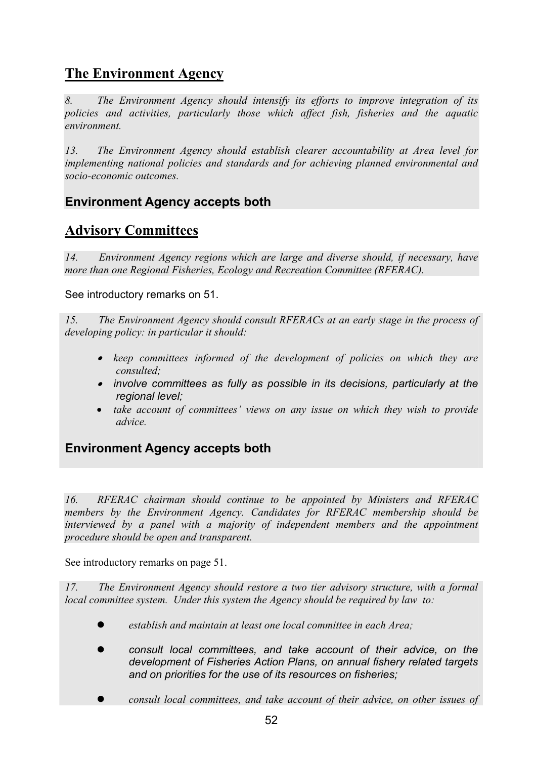# **The Environment Agency**

*8. The Environment Agency should intensify its efforts to improve integration of its policies and activities, particularly those which affect fish, fisheries and the aquatic environment.* 

*13. The Environment Agency should establish clearer accountability at Area level for implementing national policies and standards and for achieving planned environmental and socio-economic outcomes.* 

## **Environment Agency accepts both**

# **Advisory Committees**

*14. Environment Agency regions which are large and diverse should, if necessary, have more than one Regional Fisheries, Ecology and Recreation Committee (RFERAC).* 

See introductory remarks on 51.

*15. The Environment Agency should consult RFERACs at an early stage in the process of developing policy: in particular it should:* 

- • *keep committees informed of the development of policies on which they are consulted;*
- • *involve committees as fully as possible in its decisions, particularly at the regional level;*
- *take account of committees' views on any issue on which they wish to provide advice.*

**Environment Agency accepts both** 

*16. RFERAC chairman should continue to be appointed by Ministers and RFERAC members by the Environment Agency. Candidates for RFERAC membership should be interviewed by a panel with a majority of independent members and the appointment procedure should be open and transparent.* 

See introductory remarks on page 51.

*17. The Environment Agency should restore a two tier advisory structure, with a formal local committee system. Under this system the Agency should be required by law to:* 

- z *establish and maintain at least one local committee in each Area;*
- z *consult local committees, and take account of their advice, on the development of Fisheries Action Plans, on annual fishery related targets and on priorities for the use of its resources on fisheries;*
- z *consult local committees, and take account of their advice, on other issues of*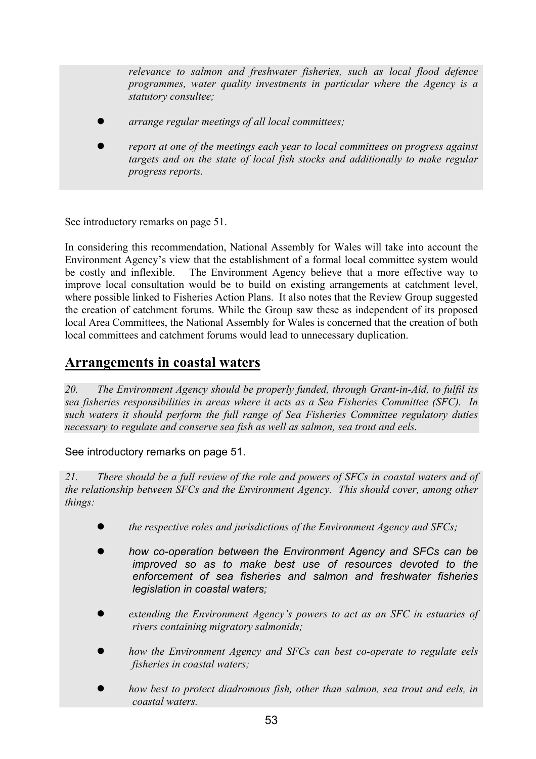*relevance to salmon and freshwater fisheries, such as local flood defence programmes, water quality investments in particular where the Agency is a statutory consultee;* 

- z *arrange regular meetings of all local committees;*
- z *report at one of the meetings each year to local committees on progress against targets and on the state of local fish stocks and additionally to make regular progress reports.*

See introductory remarks on page 51.

In considering this recommendation, National Assembly for Wales will take into account the Environment Agency's view that the establishment of a formal local committee system would be costly and inflexible. The Environment Agency believe that a more effective way to improve local consultation would be to build on existing arrangements at catchment level, where possible linked to Fisheries Action Plans. It also notes that the Review Group suggested the creation of catchment forums. While the Group saw these as independent of its proposed local Area Committees, the National Assembly for Wales is concerned that the creation of both local committees and catchment forums would lead to unnecessary duplication.

## **Arrangements in coastal waters**

*20. The Environment Agency should be properly funded, through Grant-in-Aid, to fulfil its sea fisheries responsibilities in areas where it acts as a Sea Fisheries Committee (SFC). In such waters it should perform the full range of Sea Fisheries Committee regulatory duties necessary to regulate and conserve sea fish as well as salmon, sea trout and eels.* 

#### See introductory remarks on page 51.

*21. There should be a full review of the role and powers of SFCs in coastal waters and of the relationship between SFCs and the Environment Agency. This should cover, among other things:* 

- *the respective roles and jurisdictions of the Environment Agency and SFCs;*
- how co-operation between the Environment Agency and SFCs can be *improved so as to make best use of resources devoted to the enforcement of sea fisheries and salmon and freshwater fisheries legislation in coastal waters;*
- z *extending the Environment Agency's powers to act as an SFC in estuaries of rivers containing migratory salmonids;*
- z *how the Environment Agency and SFCs can best co-operate to regulate eels fisheries in coastal waters;*
- how best to protect diadromous fish, other than salmon, sea trout and eels, in *coastal waters.*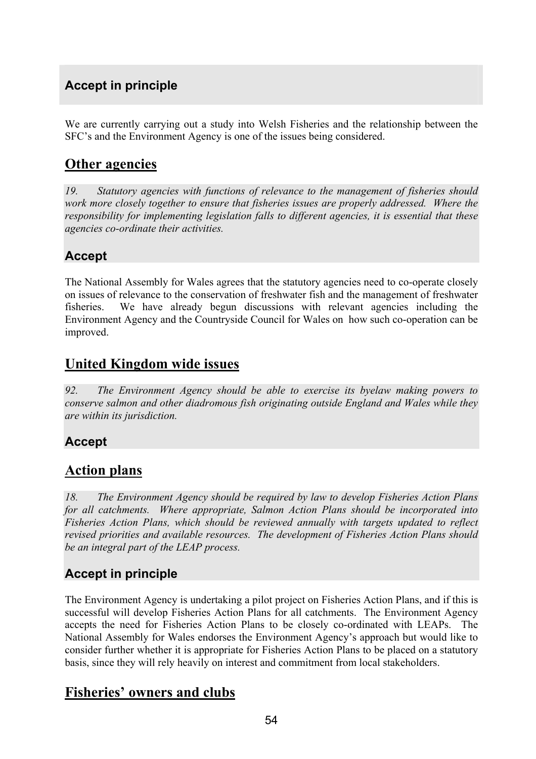## **Accept in principle**

We are currently carrying out a study into Welsh Fisheries and the relationship between the SFC's and the Environment Agency is one of the issues being considered.

## **Other agencies**

*19. Statutory agencies with functions of relevance to the management of fisheries should work more closely together to ensure that fisheries issues are properly addressed. Where the responsibility for implementing legislation falls to different agencies, it is essential that these agencies co-ordinate their activities.* 

## **Accept**

The National Assembly for Wales agrees that the statutory agencies need to co-operate closely on issues of relevance to the conservation of freshwater fish and the management of freshwater fisheries. We have already begun discussions with relevant agencies including the Environment Agency and the Countryside Council for Wales on how such co-operation can be improved.

# **United Kingdom wide issues**

*92. The Environment Agency should be able to exercise its byelaw making powers to conserve salmon and other diadromous fish originating outside England and Wales while they are within its jurisdiction.* 

### **Accept**

## **Action plans**

*18. The Environment Agency should be required by law to develop Fisheries Action Plans for all catchments. Where appropriate, Salmon Action Plans should be incorporated into Fisheries Action Plans, which should be reviewed annually with targets updated to reflect revised priorities and available resources. The development of Fisheries Action Plans should be an integral part of the LEAP process.* 

## **Accept in principle**

The Environment Agency is undertaking a pilot project on Fisheries Action Plans, and if this is successful will develop Fisheries Action Plans for all catchments. The Environment Agency accepts the need for Fisheries Action Plans to be closely co-ordinated with LEAPs. The National Assembly for Wales endorses the Environment Agency's approach but would like to consider further whether it is appropriate for Fisheries Action Plans to be placed on a statutory basis, since they will rely heavily on interest and commitment from local stakeholders.

## **Fisheries' owners and clubs**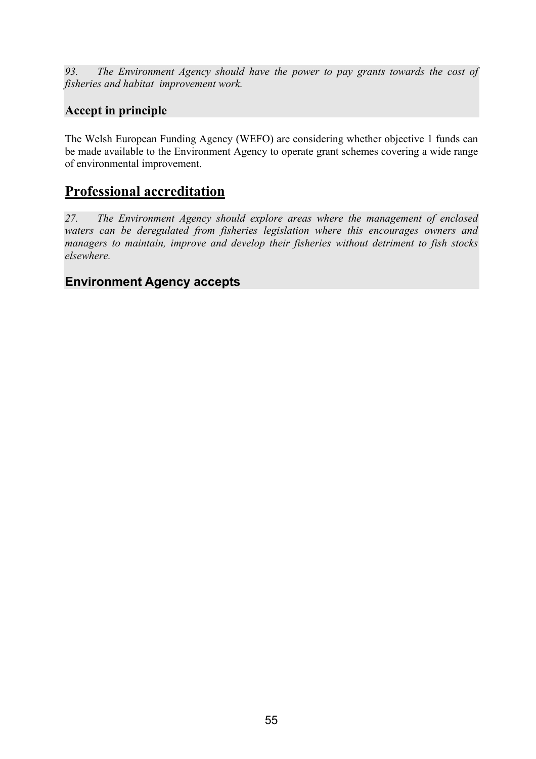*93. The Environment Agency should have the power to pay grants towards the cost of fisheries and habitat improvement work.* 

## **Accept in principle**

The Welsh European Funding Agency (WEFO) are considering whether objective 1 funds can be made available to the Environment Agency to operate grant schemes covering a wide range of environmental improvement.

## **Professional accreditation**

*27. The Environment Agency should explore areas where the management of enclosed waters can be deregulated from fisheries legislation where this encourages owners and managers to maintain, improve and develop their fisheries without detriment to fish stocks elsewhere.* 

### **Environment Agency accepts**